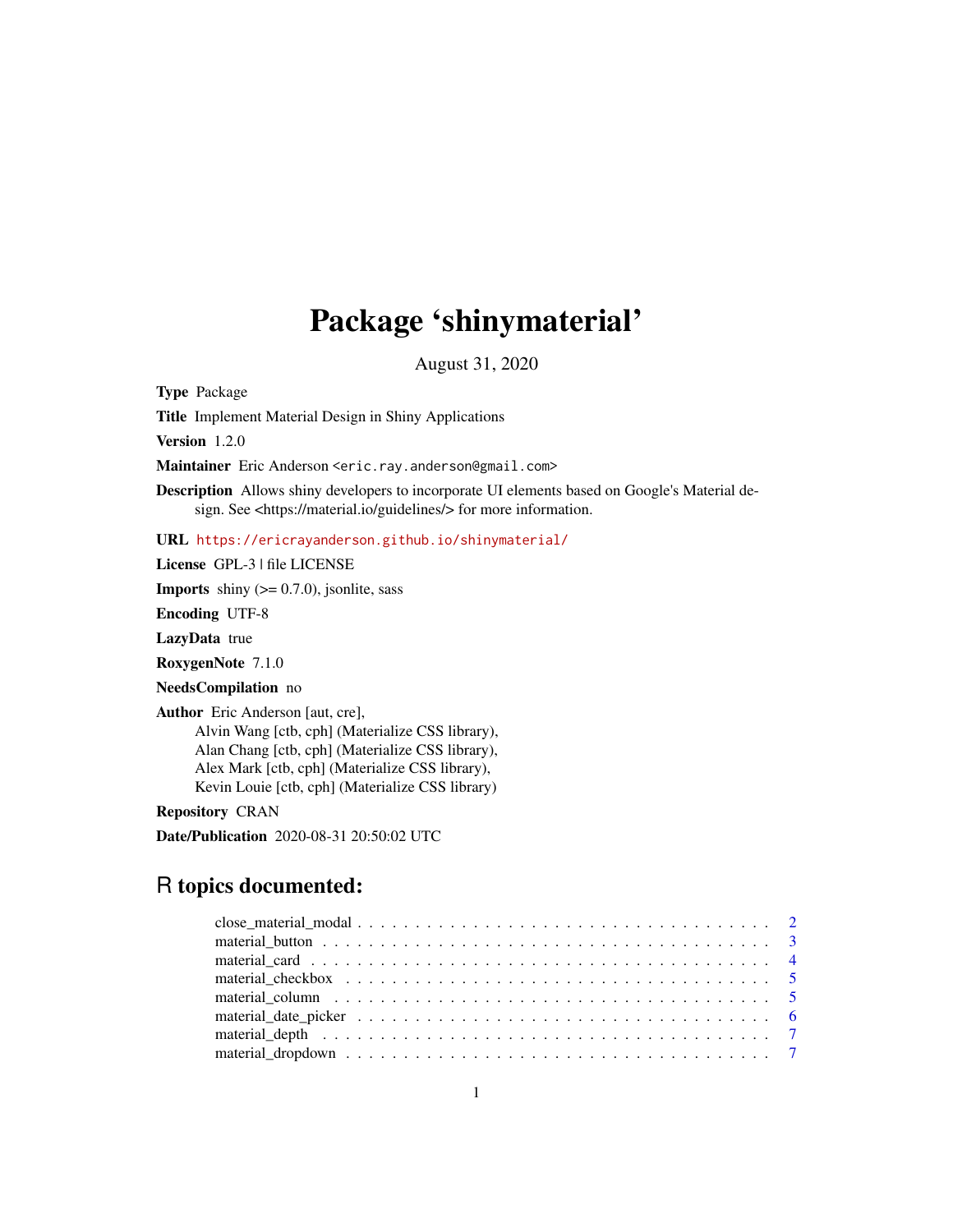## Package 'shinymaterial'

August 31, 2020

Type Package

Title Implement Material Design in Shiny Applications

Version 1.2.0

Maintainer Eric Anderson <eric.ray.anderson@gmail.com>

Description Allows shiny developers to incorporate UI elements based on Google's Material design. See <https://material.io/guidelines/> for more information.

URL <https://ericrayanderson.github.io/shinymaterial/>

License GPL-3 | file LICENSE

**Imports** shiny  $(>= 0.7.0)$ , jsonlite, sass

Encoding UTF-8

LazyData true

RoxygenNote 7.1.0

NeedsCompilation no

Author Eric Anderson [aut, cre],

Alvin Wang [ctb, cph] (Materialize CSS library), Alan Chang [ctb, cph] (Materialize CSS library), Alex Mark [ctb, cph] (Materialize CSS library), Kevin Louie [ctb, cph] (Materialize CSS library)

Repository CRAN

Date/Publication 2020-08-31 20:50:02 UTC

### R topics documented: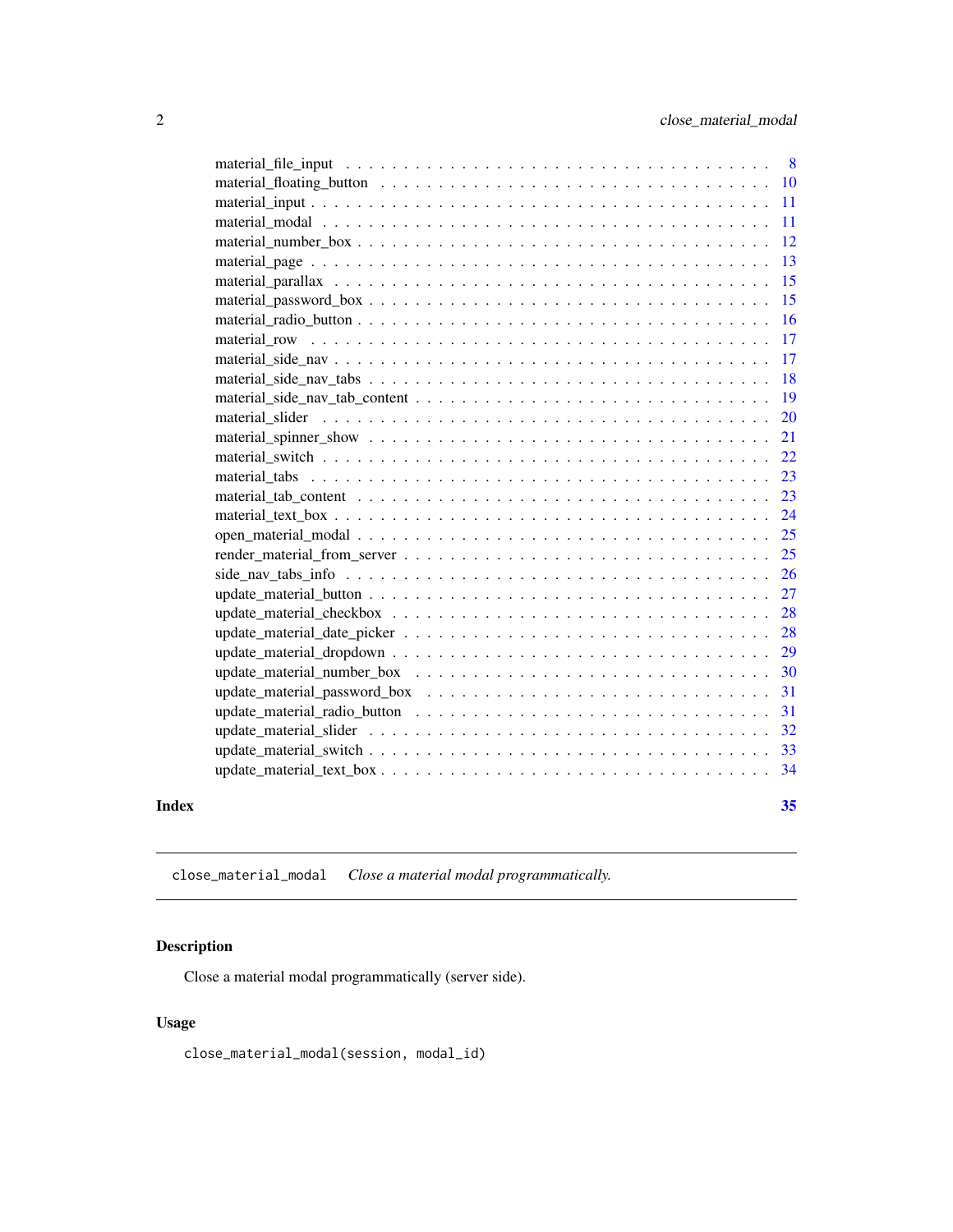<span id="page-1-0"></span>

|       | -12           |
|-------|---------------|
|       | <sup>13</sup> |
|       | 15            |
|       | -15           |
|       |               |
|       |               |
|       |               |
|       |               |
|       |               |
|       | <b>20</b>     |
|       | 21            |
|       | 22            |
|       | 23            |
|       | 23            |
|       |               |
|       |               |
|       |               |
|       | <sup>26</sup> |
|       | 27            |
|       | 28            |
|       | 28            |
|       | 29            |
|       | 30            |
|       | 31            |
|       |               |
|       |               |
|       |               |
|       |               |
| Index | 35            |

<span id="page-1-1"></span>close\_material\_modal *Close a material modal programmatically.*

### Description

Close a material modal programmatically (server side).

### Usage

close\_material\_modal(session, modal\_id)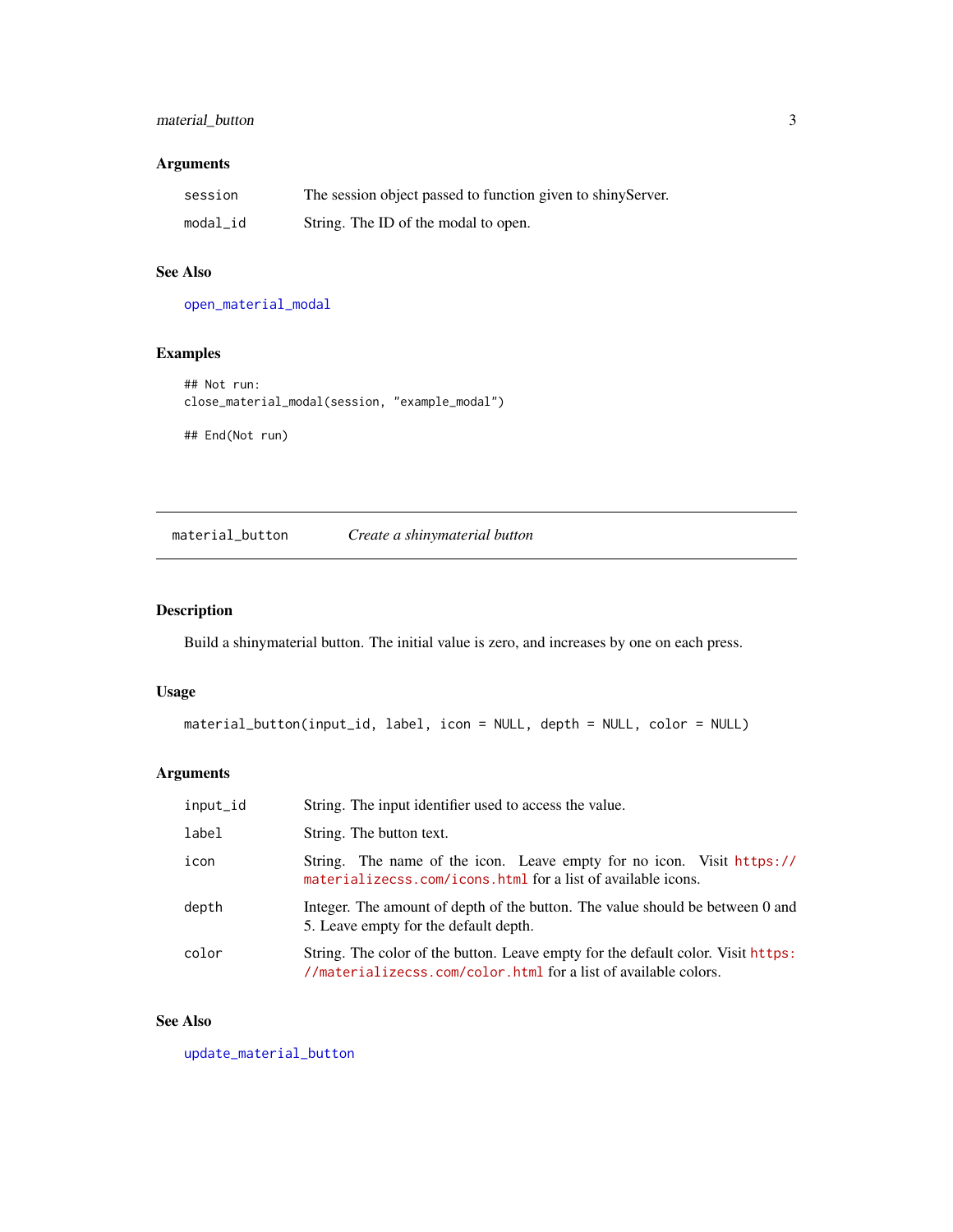### <span id="page-2-0"></span>material\_button 3

### Arguments

| session  | The session object passed to function given to shiny Server. |
|----------|--------------------------------------------------------------|
| modal_id | String. The ID of the modal to open.                         |

### See Also

[open\\_material\\_modal](#page-24-1)

### Examples

## Not run: close\_material\_modal(session, "example\_modal")

## End(Not run)

<span id="page-2-1"></span>material\_button *Create a shinymaterial button*

### Description

Build a shinymaterial button. The initial value is zero, and increases by one on each press.

### Usage

```
material_button(input_id, label, icon = NULL, depth = NULL, color = NULL)
```
### Arguments

| input_id | String. The input identifier used to access the value.                                                                                              |
|----------|-----------------------------------------------------------------------------------------------------------------------------------------------------|
| label    | String. The button text.                                                                                                                            |
| icon     | String. The name of the icon. Leave empty for no icon. Visit https://<br>materializecss.com/icons.html for a list of available icons.               |
| depth    | Integer. The amount of depth of the button. The value should be between 0 and<br>5. Leave empty for the default depth.                              |
| color    | String. The color of the button. Leave empty for the default color. Visit https:<br>//materializecss.com/color.html for a list of available colors. |

### See Also

[update\\_material\\_button](#page-26-1)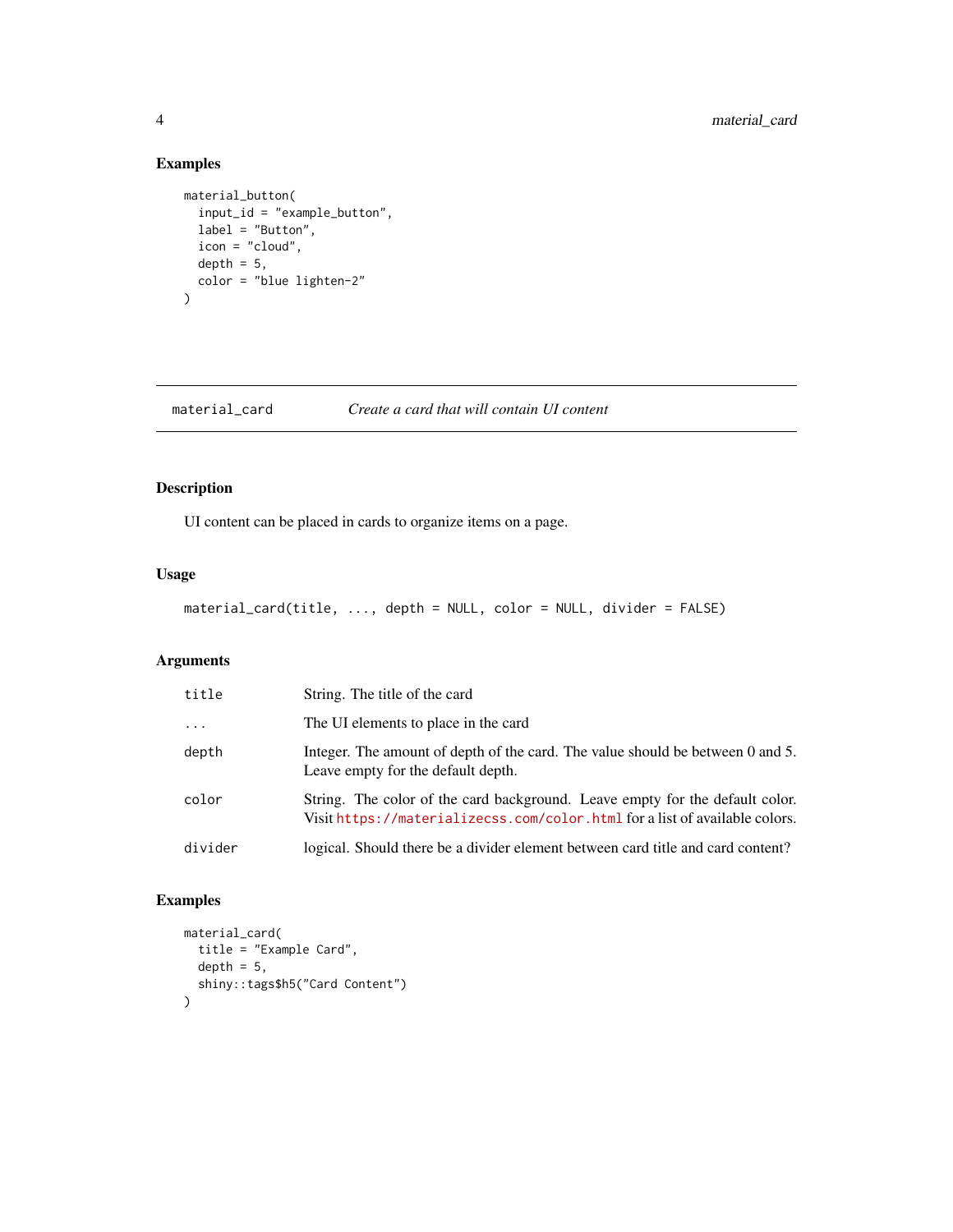### Examples

```
material_button(
  input_id = "example_button",
  label = "Button",
  icon = "cloud",
  depth = 5,color = "blue lighten-2"
\mathcal{L}
```
### material\_card *Create a card that will contain UI content*

### Description

UI content can be placed in cards to organize items on a page.

#### Usage

```
material_card(title, ..., depth = NULL, color = NULL, divider = FALSE)
```
### Arguments

| title      | String. The title of the card                                                                                                                               |
|------------|-------------------------------------------------------------------------------------------------------------------------------------------------------------|
| $\ddots$ . | The UI elements to place in the card                                                                                                                        |
| depth      | Integer. The amount of depth of the card. The value should be between 0 and 5.<br>Leave empty for the default depth.                                        |
| color      | String. The color of the card background. Leave empty for the default color.<br>Visit https://materializecss.com/color.html for a list of available colors. |
| divider    | logical. Should there be a divider element between card title and card content?                                                                             |

```
material_card(
  title = "Example Card",
  depth = 5,shiny::tags$h5("Card Content")
)
```
<span id="page-3-0"></span>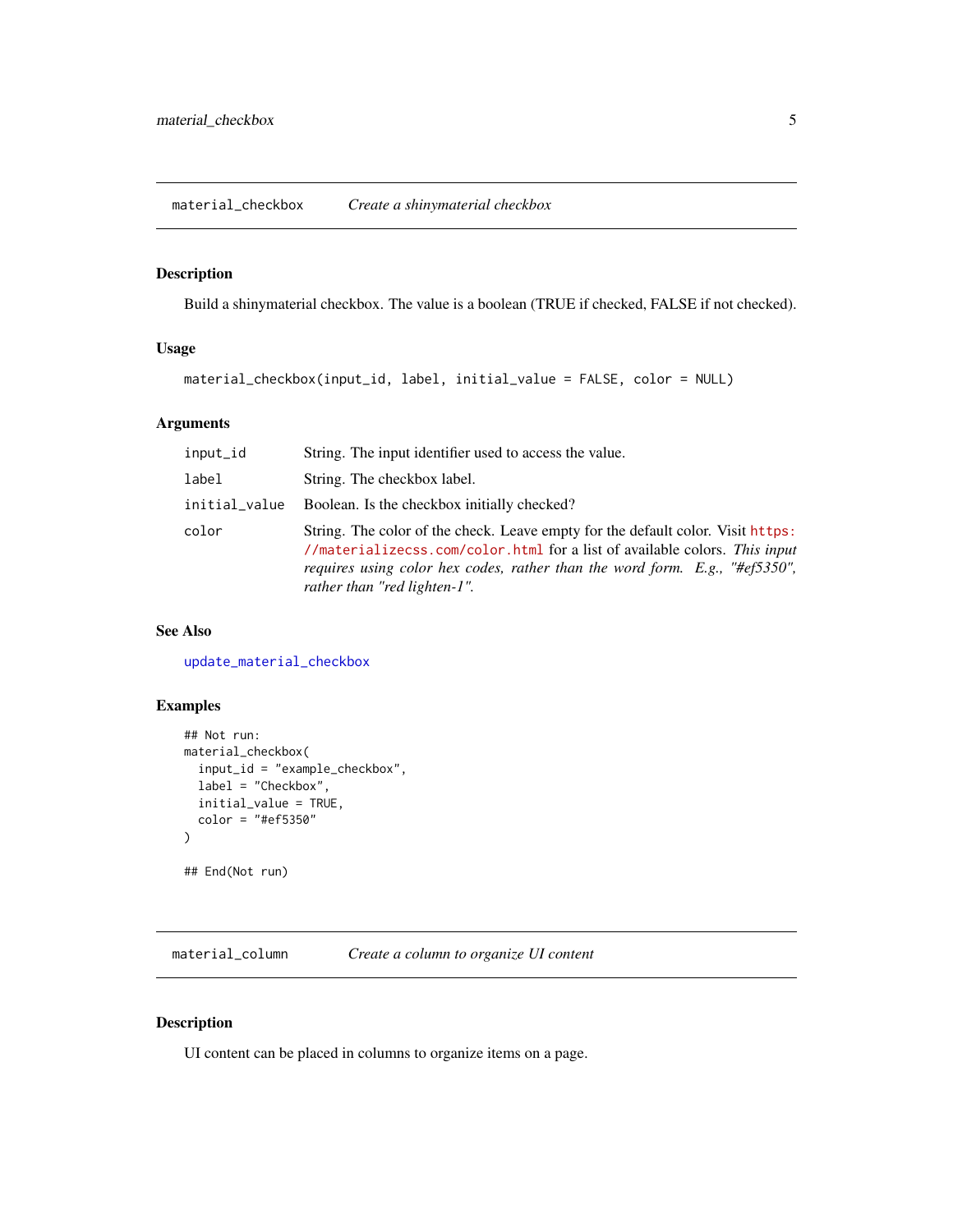### <span id="page-4-1"></span><span id="page-4-0"></span>Description

Build a shinymaterial checkbox. The value is a boolean (TRUE if checked, FALSE if not checked).

#### Usage

```
material_checkbox(input_id, label, initial_value = FALSE, color = NULL)
```
### Arguments

| input_id      | String. The input identifier used to access the value.                                                                                                                                                                                                                       |
|---------------|------------------------------------------------------------------------------------------------------------------------------------------------------------------------------------------------------------------------------------------------------------------------------|
| label         | String. The checkbox label.                                                                                                                                                                                                                                                  |
| initial_value | Boolean. Is the checkbox initially checked?                                                                                                                                                                                                                                  |
| color         | String. The color of the check. Leave empty for the default color. Visit https:<br>//materializecss.com/color.html for a list of available colors. This input<br>requires using color hex codes, rather than the word form. E.g., "#ef5350",<br>rather than "red lighten-1". |

### See Also

[update\\_material\\_checkbox](#page-27-1)

### Examples

```
## Not run:
material_checkbox(
  input_id = "example_checkbox",
  label = "Checkbox",
  initial_value = TRUE,
  color = "#ef5350"
\mathcal{L}## End(Not run)
```
material\_column *Create a column to organize UI content*

### Description

UI content can be placed in columns to organize items on a page.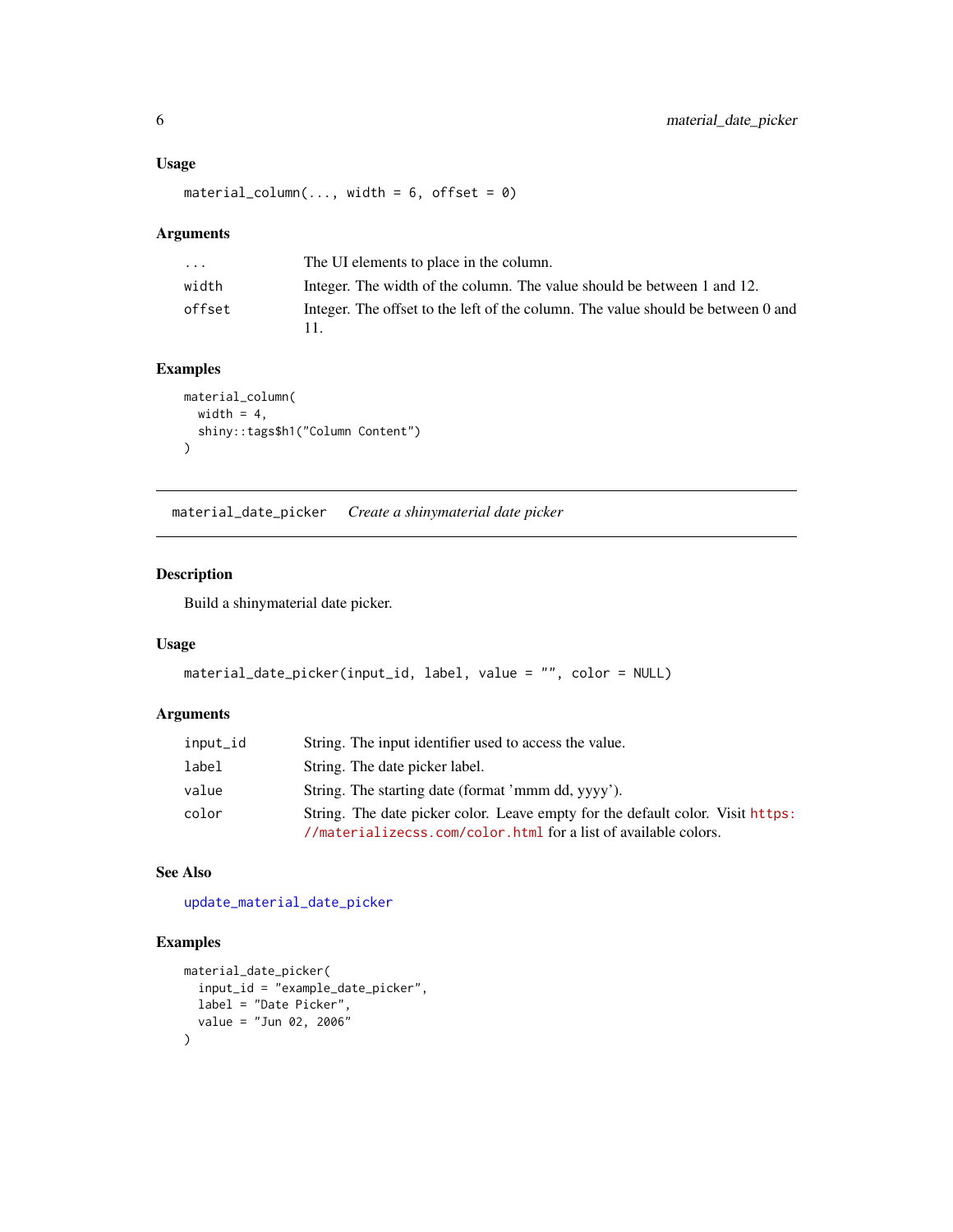#### <span id="page-5-0"></span>Usage

```
material_column(..., width = 6, offset = 0)
```
#### Arguments

| $\cdots$ | The UI elements to place in the column.                                          |
|----------|----------------------------------------------------------------------------------|
| width    | Integer. The width of the column. The value should be between 1 and 12.          |
| offset   | Integer. The offset to the left of the column. The value should be between 0 and |

### Examples

```
material_column(
width = 4,shiny::tags$h1("Column Content")
)
```
<span id="page-5-1"></span>material\_date\_picker *Create a shinymaterial date picker*

#### Description

Build a shinymaterial date picker.

### Usage

```
material_date_picker(input_id, label, value = "", color = NULL)
```
### Arguments

| input_id | String. The input identifier used to access the value.                                                                                            |
|----------|---------------------------------------------------------------------------------------------------------------------------------------------------|
| label    | String. The date picker label.                                                                                                                    |
| value    | String. The starting date (format 'mmm dd, yyyy').                                                                                                |
| color    | String. The date picker color. Leave empty for the default color. Visit https:<br>//materializecss.com/color.html for a list of available colors. |

#### See Also

[update\\_material\\_date\\_picker](#page-27-2)

```
material_date_picker(
 input_id = "example_date_picker",
 label = "Date Picker",
  value = "Jun 02, 2006"
\lambda
```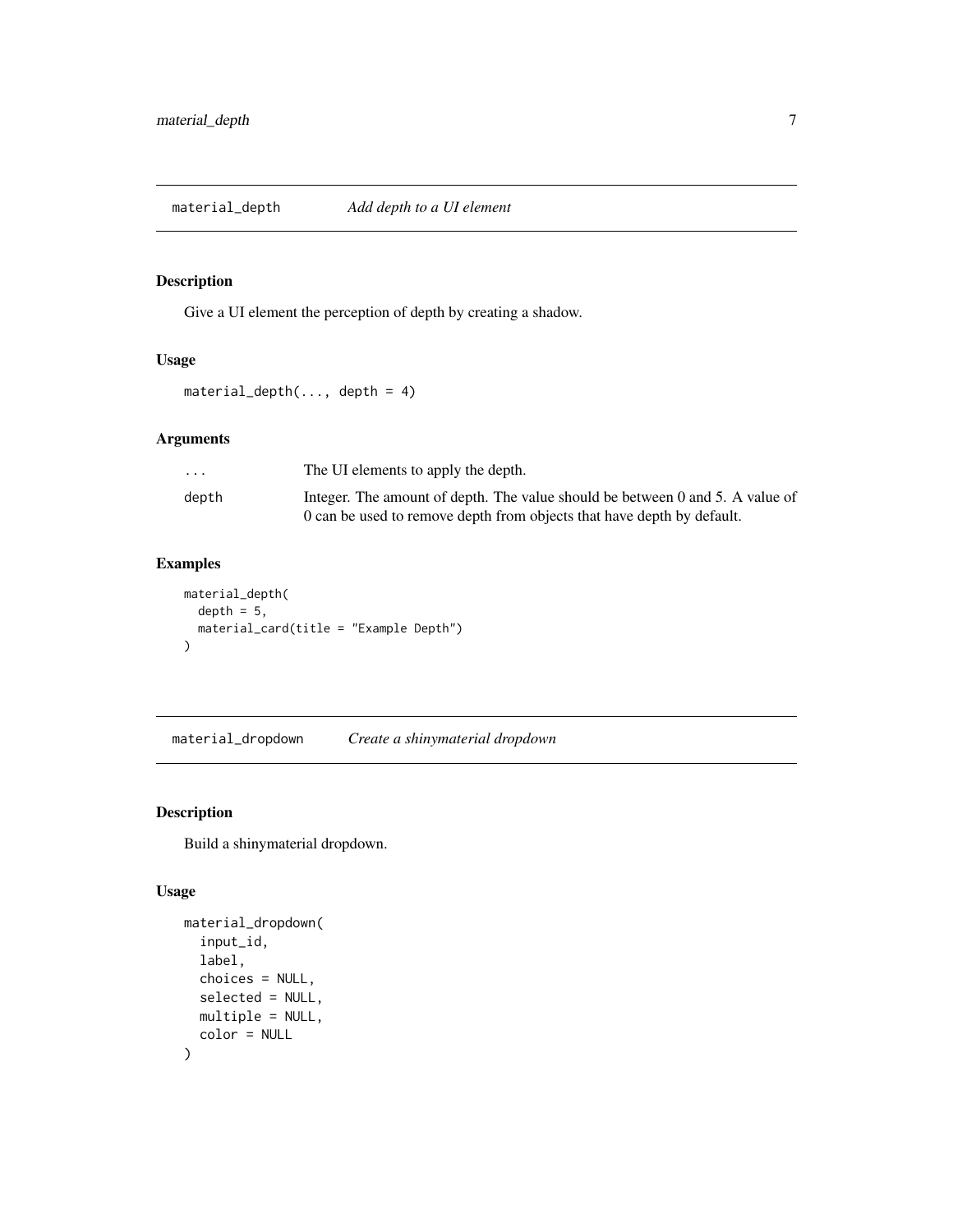<span id="page-6-0"></span>material\_depth *Add depth to a UI element*

### Description

Give a UI element the perception of depth by creating a shadow.

#### Usage

material\_depth(..., depth = 4)

### Arguments

| $\cdot$ $\cdot$ $\cdot$ | The UI elements to apply the depth.                                           |
|-------------------------|-------------------------------------------------------------------------------|
| depth                   | Integer. The amount of depth. The value should be between 0 and 5. A value of |
|                         | 0 can be used to remove depth from objects that have depth by default.        |

### Examples

```
material_depth(
 depth = 5,
  material_card(title = "Example Depth")
\mathcal{L}
```
<span id="page-6-1"></span>material\_dropdown *Create a shinymaterial dropdown*

### Description

Build a shinymaterial dropdown.

```
material_dropdown(
  input_id,
  label,
  choices = NULL,
  selected = NULL,
  multiple = NULL,
  color = NULL
\mathcal{E}
```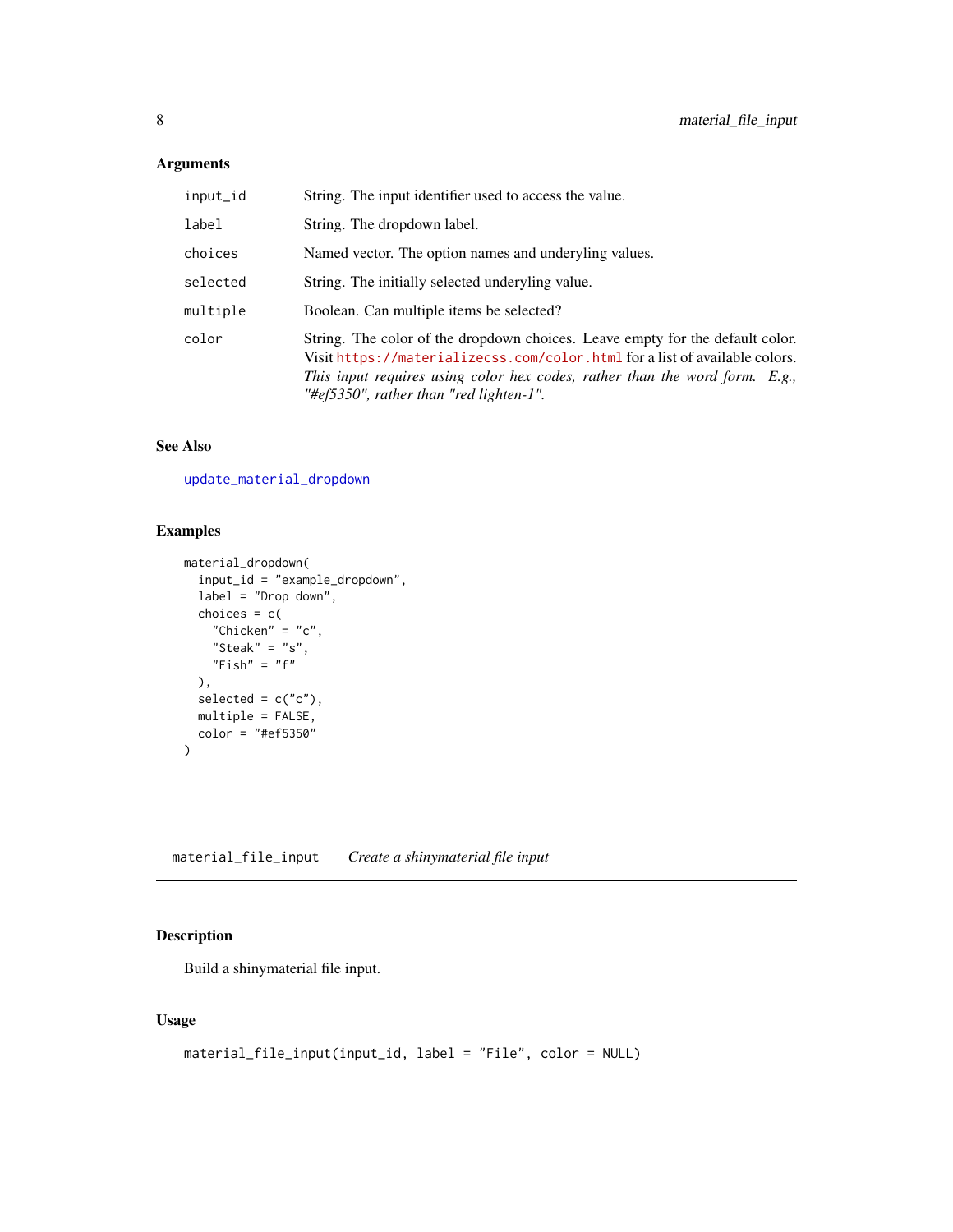<span id="page-7-0"></span>

| input_id | String. The input identifier used to access the value.                                                                                                                                                                                                                                 |
|----------|----------------------------------------------------------------------------------------------------------------------------------------------------------------------------------------------------------------------------------------------------------------------------------------|
| label    | String. The dropdown label.                                                                                                                                                                                                                                                            |
| choices  | Named vector. The option names and underyling values.                                                                                                                                                                                                                                  |
| selected | String. The initially selected underyling value.                                                                                                                                                                                                                                       |
| multiple | Boolean. Can multiple items be selected?                                                                                                                                                                                                                                               |
| color    | String. The color of the dropdown choices. Leave empty for the default color.<br>Visit https://materializecss.com/color.html for a list of available colors.<br>This input requires using color hex codes, rather than the word form. E.g.,<br>"#ef5350", rather than "red lighten-1". |

### See Also

[update\\_material\\_dropdown](#page-28-1)

### Examples

```
material_dropdown(
  input_id = "example_dropdown",
 label = "Drop down",
 choice = c("Chicken" = "c","Steak" = "s",
   "Fish" = "f"),
 selected = c("c"),
  multiple = FALSE,
 color = "#ef5350"
)
```
material\_file\_input *Create a shinymaterial file input*

### Description

Build a shinymaterial file input.

```
material_file_input(input_id, label = "File", color = NULL)
```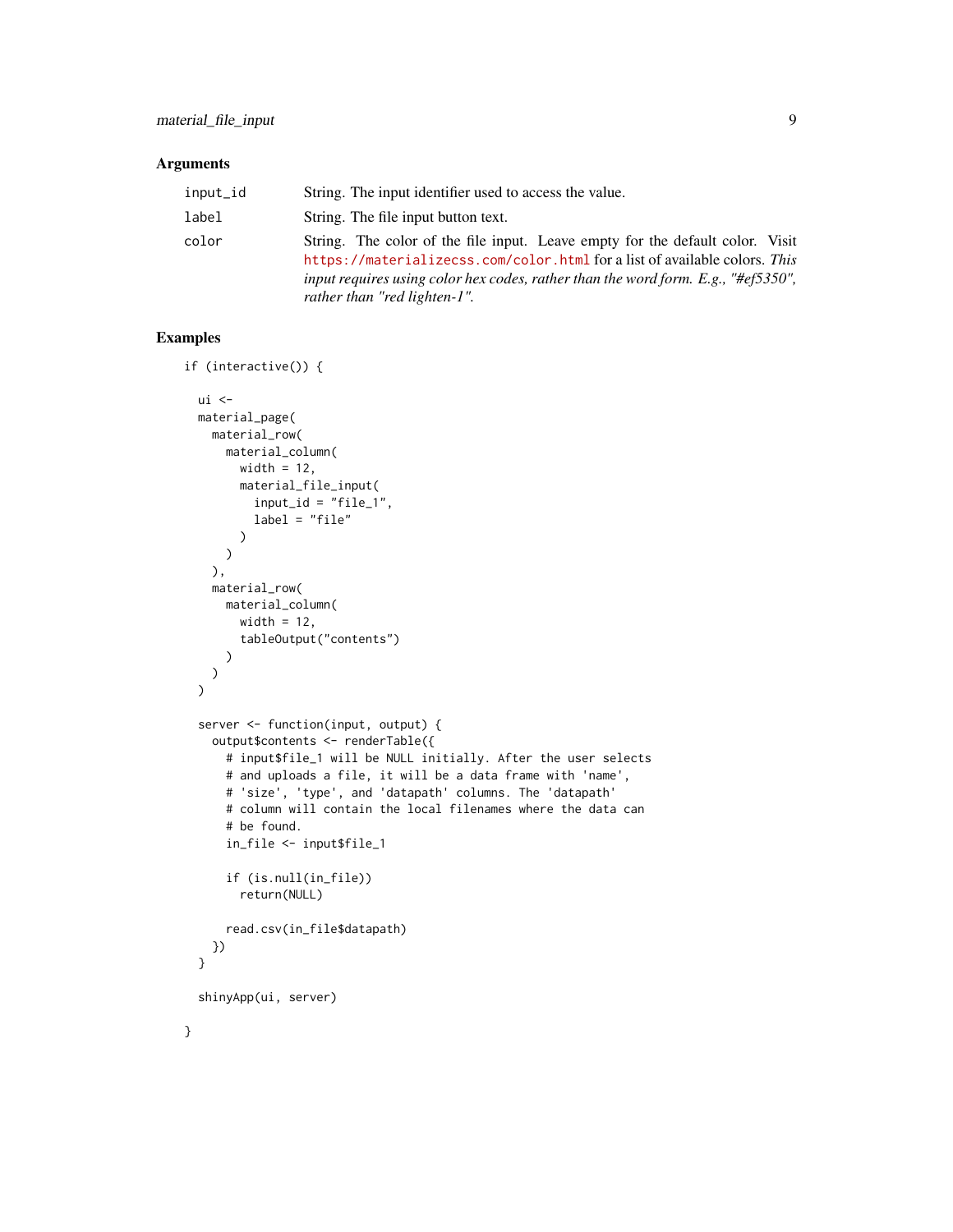| input_id | String. The input identifier used to access the value.                                                                                                                                                                                                                           |
|----------|----------------------------------------------------------------------------------------------------------------------------------------------------------------------------------------------------------------------------------------------------------------------------------|
| label    | String. The file input button text.                                                                                                                                                                                                                                              |
| color    | String. The color of the file input. Leave empty for the default color. Visit<br>https://materializecss.com/color.html for a list of available colors. This<br>input requires using color hex codes, rather than the word form. E.g., "#ef5350",<br>rather than "red lighten-1". |

```
if (interactive()) {
 ui <-
 material_page(
   material_row(
     material_column(
       width = 12,
       material_file_input(
         input_id = "file_1",label = "file"
       )
     )
   ),
   material_row(
     material_column(
       width = 12,
        tableOutput("contents")
     )
   )
 \lambdaserver <- function(input, output) {
   output$contents <- renderTable({
     # input$file_1 will be NULL initially. After the user selects
     # and uploads a file, it will be a data frame with 'name',
     # 'size', 'type', and 'datapath' columns. The 'datapath'
     # column will contain the local filenames where the data can
     # be found.
     in_file <- input$file_1
     if (is.null(in_file))
       return(NULL)
     read.csv(in_file$datapath)
   })
 }
 shinyApp(ui, server)
}
```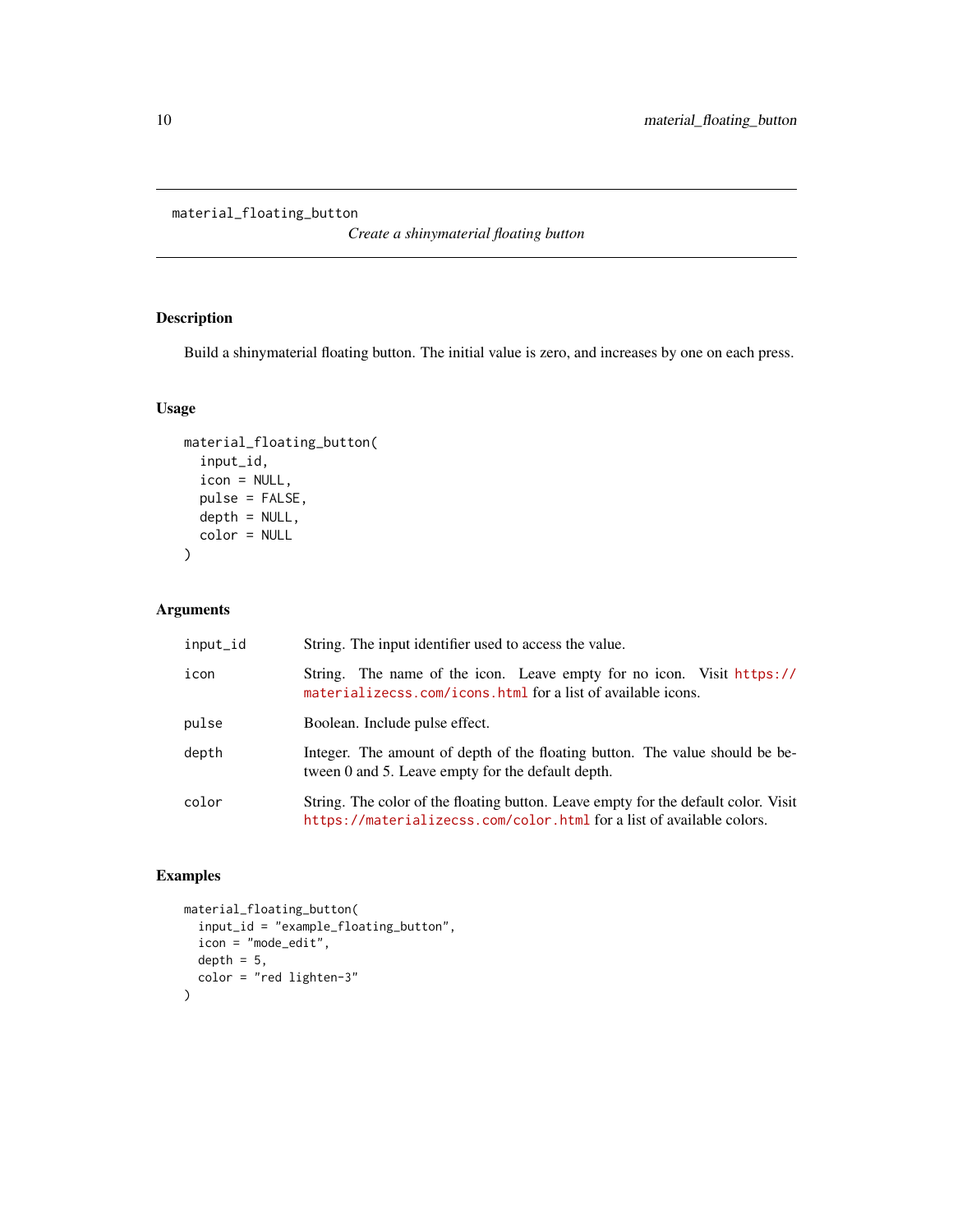<span id="page-9-0"></span>material\_floating\_button

*Create a shinymaterial floating button*

### Description

Build a shinymaterial floating button. The initial value is zero, and increases by one on each press.

### Usage

```
material_floating_button(
  input_id,
  icon = NULL,
 pulse = FALSE,
 depth = NULL,color = NULL
)
```
### Arguments

| input_id | String. The input identifier used to access the value.                                                                                                      |
|----------|-------------------------------------------------------------------------------------------------------------------------------------------------------------|
| icon     | String. The name of the icon. Leave empty for no icon. Visit https://<br>materializecss.com/icons.html for a list of available icons.                       |
| pulse    | Boolean. Include pulse effect.                                                                                                                              |
| depth    | Integer. The amount of depth of the floating button. The value should be be-<br>tween 0 and 5. Leave empty for the default depth.                           |
| color    | String. The color of the floating button. Leave empty for the default color. Visit<br>https://materializecss.com/color.html for a list of available colors. |

```
material_floating_button(
  input_id = "example_floating_button",
  icon = "mode_edit",
  depth = 5,
  color = "red lighten-3"
\mathcal{L}
```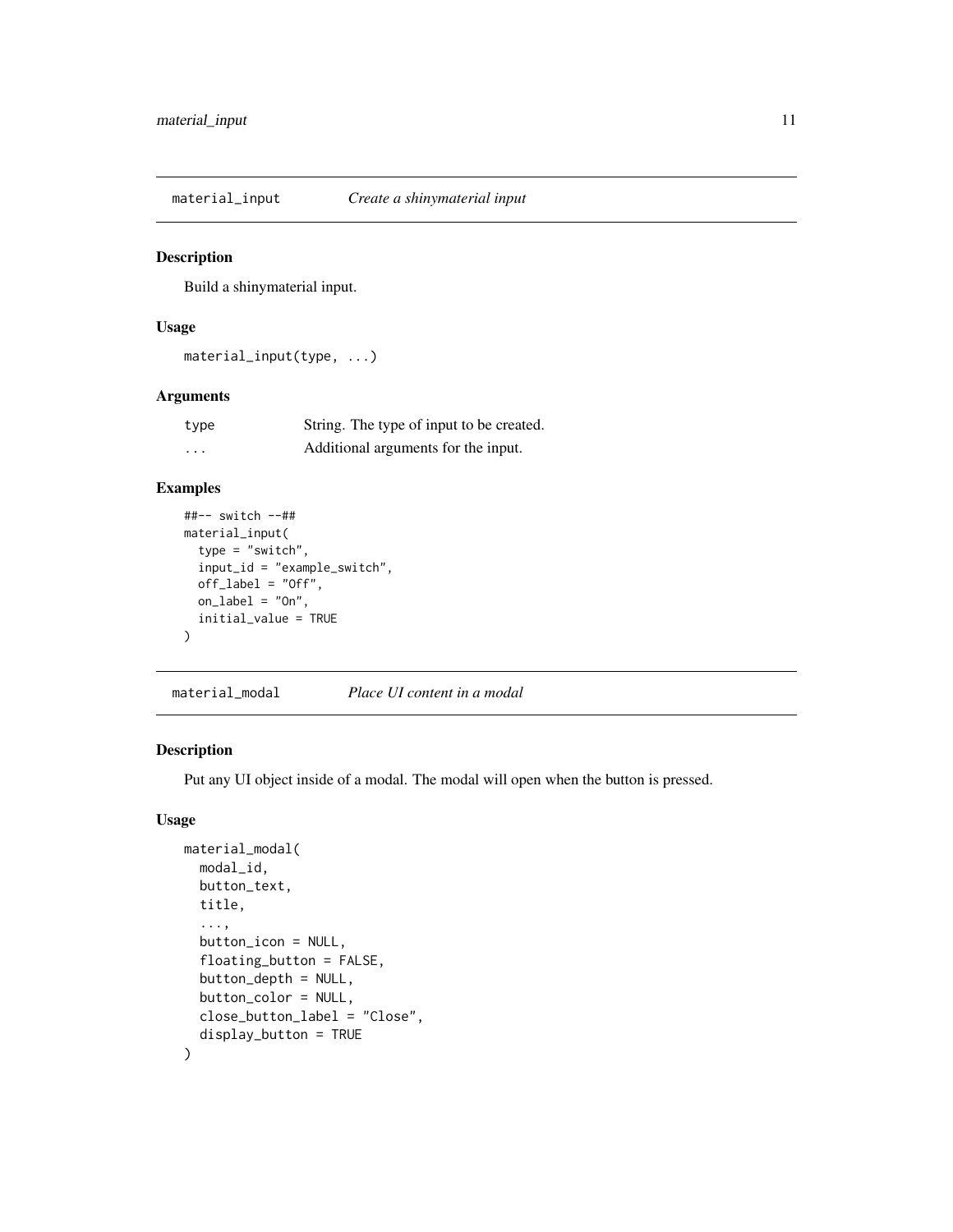<span id="page-10-0"></span>material\_input *Create a shinymaterial input*

#### Description

Build a shinymaterial input.

### Usage

material\_input(type, ...)

### Arguments

| type     | String. The type of input to be created. |
|----------|------------------------------------------|
| $\cdots$ | Additional arguments for the input.      |

### Examples

```
##-- switch --##
material_input(
  type = "switch",
  input_id = "example_switch",
  off_label = "Off",
  on\_label = "On",initial_value = TRUE
)
```
material\_modal *Place UI content in a modal*

### Description

Put any UI object inside of a modal. The modal will open when the button is pressed.

```
material_modal(
 modal_id,
 button_text,
  title,
  ...,
  button_icon = NULL,
  floating_button = FALSE,
 button_depth = NULL,
 button_color = NULL,
  close_button_label = "Close",
  display_button = TRUE
\mathcal{E}
```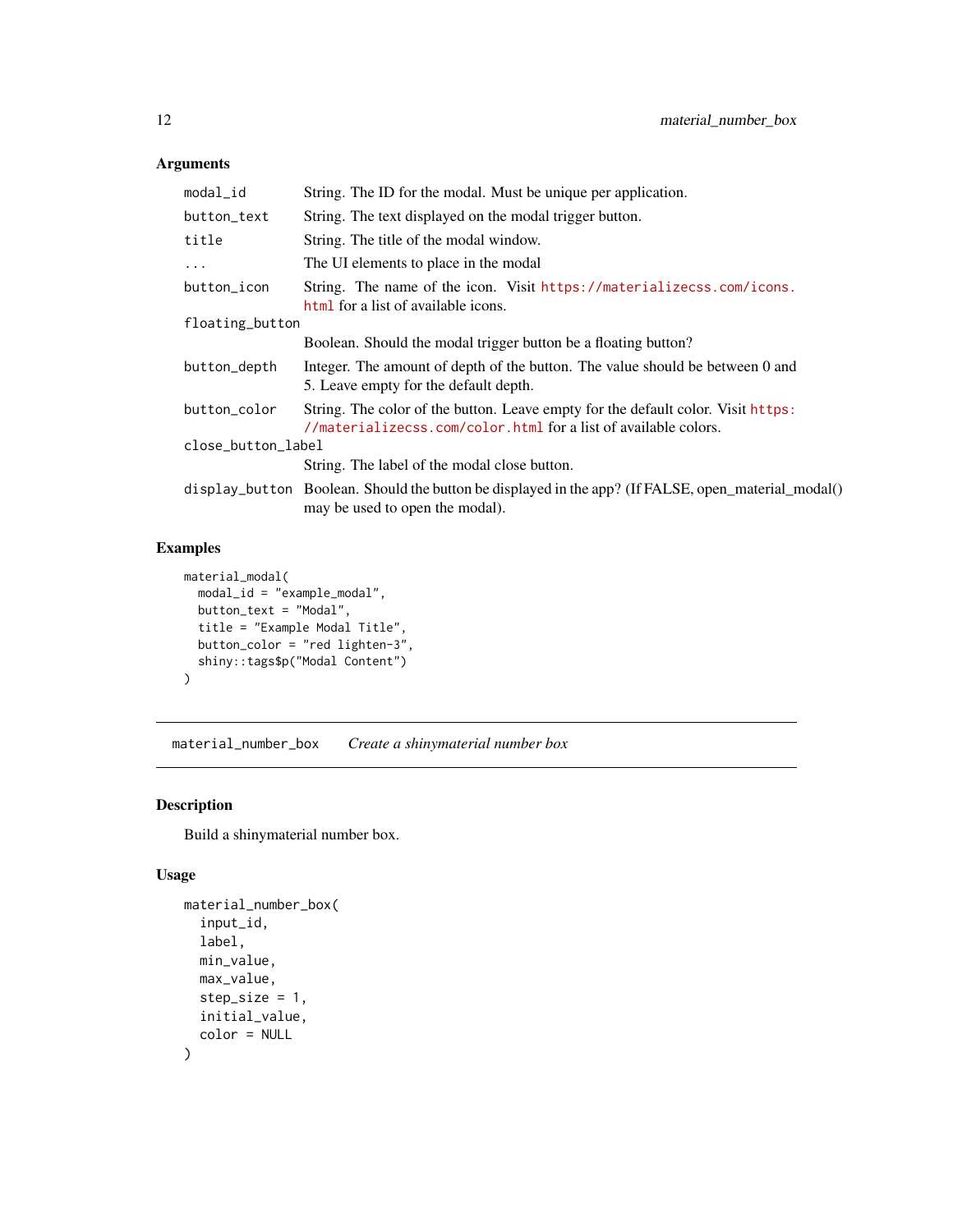<span id="page-11-0"></span>

| modal_id           | String. The ID for the modal. Must be unique per application.                                                                                       |
|--------------------|-----------------------------------------------------------------------------------------------------------------------------------------------------|
| button_text        | String. The text displayed on the modal trigger button.                                                                                             |
| title              | String. The title of the modal window.                                                                                                              |
| $\ddots$ .         | The UI elements to place in the modal                                                                                                               |
| button_icon        | String. The name of the icon. Visit https://materializecss.com/icons.<br>html for a list of available icons.                                        |
| floating_button    |                                                                                                                                                     |
|                    | Boolean. Should the modal trigger button be a floating button?                                                                                      |
| button_depth       | Integer. The amount of depth of the button. The value should be between 0 and<br>5. Leave empty for the default depth.                              |
| button_color       | String. The color of the button. Leave empty for the default color. Visit https:<br>//materializecss.com/color.html for a list of available colors. |
| close_button_label |                                                                                                                                                     |
|                    | String. The label of the modal close button.                                                                                                        |
|                    | display_button Boolean. Should the button be displayed in the app? (If FALSE, open_material_modal()<br>may be used to open the modal).              |

### Examples

```
material_modal(
 modal_id = "example_modal",
 button_text = "Modal",
  title = "Example Modal Title",
  button_color = "red lighten-3",
  shiny::tags$p("Modal Content")
\lambda
```
<span id="page-11-1"></span>material\_number\_box *Create a shinymaterial number box*

### Description

Build a shinymaterial number box.

```
material_number_box(
  input_id,
  label,
  min_value,
  max_value,
  step_size = 1,
  initial_value,
  color = NULL
\mathcal{E}
```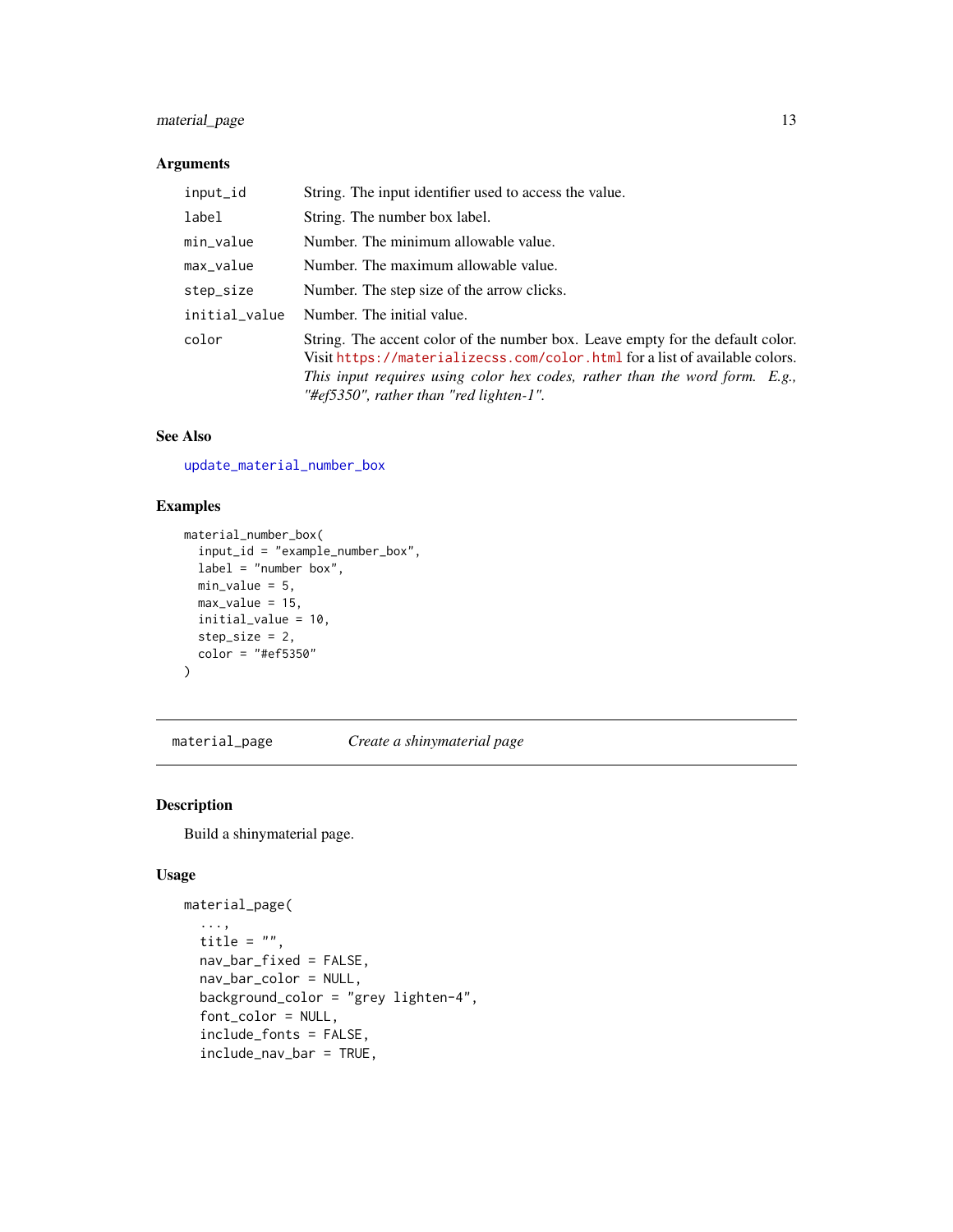### <span id="page-12-0"></span>material\_page 13

### Arguments

| input_id      | String. The input identifier used to access the value.                                                                                                                                                                                                                                    |
|---------------|-------------------------------------------------------------------------------------------------------------------------------------------------------------------------------------------------------------------------------------------------------------------------------------------|
| label         | String. The number box label.                                                                                                                                                                                                                                                             |
| min_value     | Number. The minimum allowable value.                                                                                                                                                                                                                                                      |
| max_value     | Number. The maximum allowable value.                                                                                                                                                                                                                                                      |
| step_size     | Number. The step size of the arrow clicks.                                                                                                                                                                                                                                                |
| initial_value | Number. The initial value.                                                                                                                                                                                                                                                                |
| color         | String. The accent color of the number box. Leave empty for the default color.<br>Visit https://materializecss.com/color.html for a list of available colors.<br>This input requires using color hex codes, rather than the word form. $E.g.,$<br>"#ef5350", rather than "red lighten-1". |

#### See Also

[update\\_material\\_number\\_box](#page-29-1)

### Examples

```
material_number_box(
 input_id = "example_number_box",
 label = "number box",
 min_value = 5,
 max_value = 15,
 initial_value = 10,
 step_size = 2,
  color = "#ef5350"
)
```
material\_page *Create a shinymaterial page*

#### Description

Build a shinymaterial page.

```
material_page(
  ...,
  title = ",
 nav_bar_fixed = FALSE,
 nav_bar_color = NULL,
 background_color = "grey lighten-4",
  font_color = NULL,
  include_fonts = FALSE,
  include_nav_bar = TRUE,
```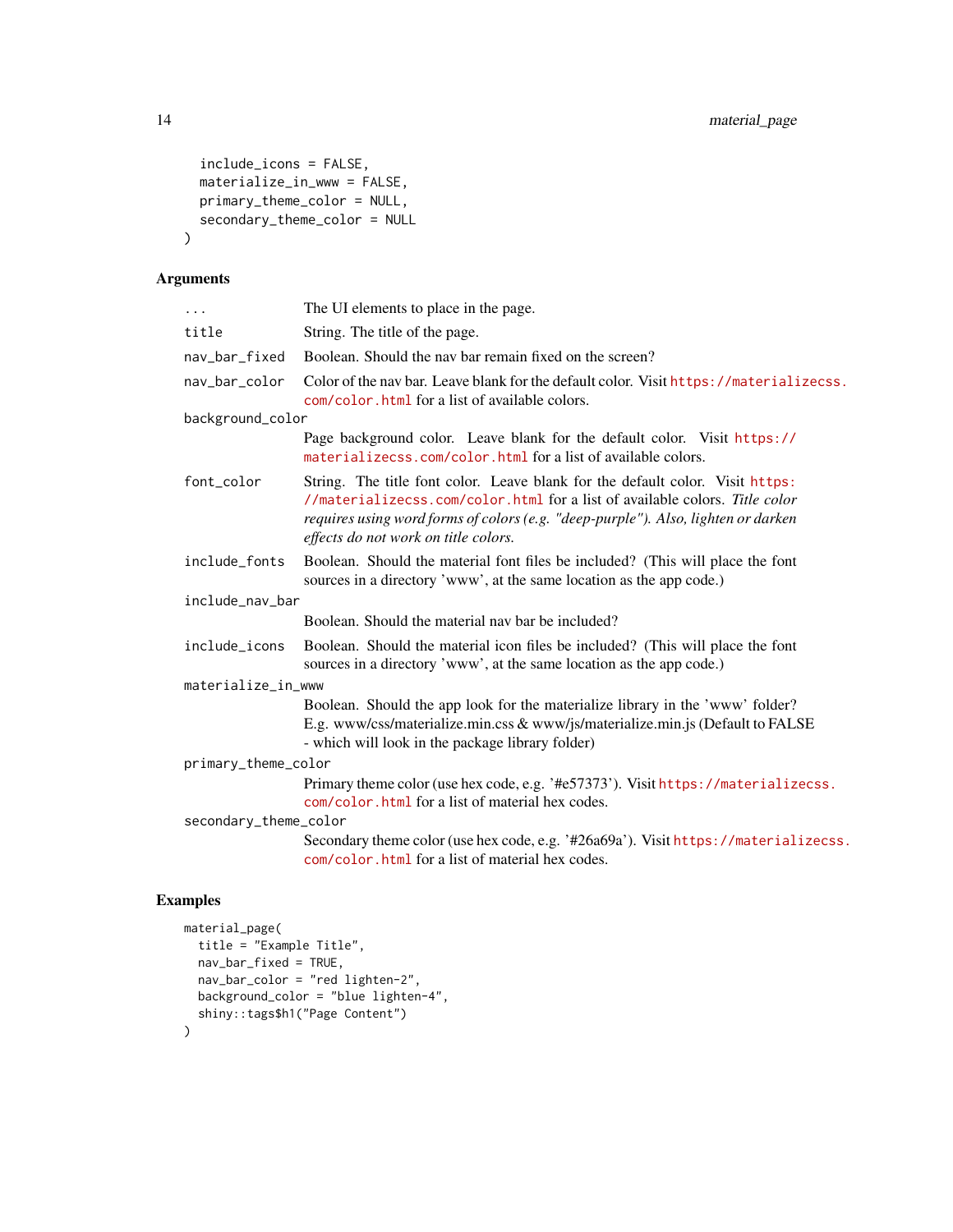```
include_icons = FALSE,
 materialize_in_www = FALSE,
 primary_theme_color = NULL,
 secondary_theme_color = NULL
\mathcal{E}
```

| $\cdots$              | The UI elements to place in the page.                                                                                                                                                                                                                                                     |  |
|-----------------------|-------------------------------------------------------------------------------------------------------------------------------------------------------------------------------------------------------------------------------------------------------------------------------------------|--|
| title                 | String. The title of the page.                                                                                                                                                                                                                                                            |  |
| nav_bar_fixed         | Boolean. Should the nav bar remain fixed on the screen?                                                                                                                                                                                                                                   |  |
| nav_bar_color         | Color of the nav bar. Leave blank for the default color. Visit https://materializecss.<br>com/color.html for a list of available colors.                                                                                                                                                  |  |
| background_color      |                                                                                                                                                                                                                                                                                           |  |
|                       | Page background color. Leave blank for the default color. Visit https://<br>materializecss.com/color.html for a list of available colors.                                                                                                                                                 |  |
| font_color            | String. The title font color. Leave blank for the default color. Visit https:<br>//materializecss.com/color.html for a list of available colors. Title color<br>requires using word forms of colors (e.g. "deep-purple"). Also, lighten or darken<br>effects do not work on title colors. |  |
| include_fonts         | Boolean. Should the material font files be included? (This will place the font<br>sources in a directory 'www', at the same location as the app code.)                                                                                                                                    |  |
| include_nav_bar       |                                                                                                                                                                                                                                                                                           |  |
|                       | Boolean. Should the material nav bar be included?                                                                                                                                                                                                                                         |  |
| include_icons         | Boolean. Should the material icon files be included? (This will place the font<br>sources in a directory 'www', at the same location as the app code.)                                                                                                                                    |  |
| materialize_in_www    |                                                                                                                                                                                                                                                                                           |  |
|                       | Boolean. Should the app look for the materialize library in the 'www' folder?<br>E.g. www/css/materialize.min.css & www/js/materialize.min.js (Default to FALSE<br>- which will look in the package library folder)                                                                       |  |
| primary_theme_color   |                                                                                                                                                                                                                                                                                           |  |
|                       | Primary theme color (use hex code, e.g. '#e57373'). Visit https://materializecss.<br>com/color.html for a list of material hex codes.                                                                                                                                                     |  |
| secondary_theme_color |                                                                                                                                                                                                                                                                                           |  |
|                       | Secondary theme color (use hex code, e.g. '#26a69a'). Visit https://materializecss.<br>com/color.html for a list of material hex codes.                                                                                                                                                   |  |
|                       |                                                                                                                                                                                                                                                                                           |  |

```
material_page(
  title = "Example Title",
 nav_bar_fixed = TRUE,
 nav_bar_color = "red lighten-2",
  background_color = "blue lighten-4",
  shiny::tags$h1("Page Content")
\mathcal{L}
```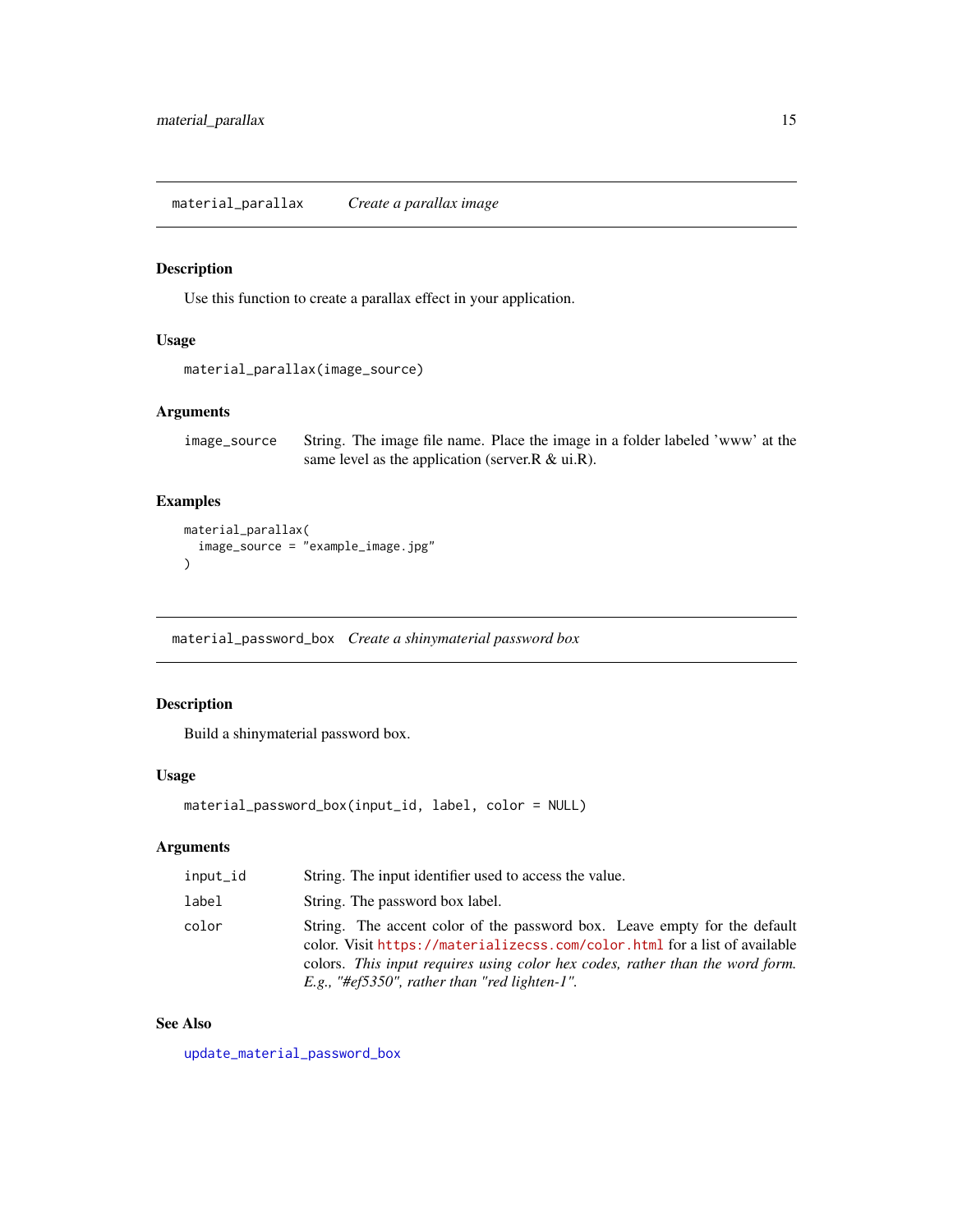<span id="page-14-0"></span>material\_parallax *Create a parallax image*

### Description

Use this function to create a parallax effect in your application.

### Usage

```
material_parallax(image_source)
```
### Arguments

image\_source String. The image file name. Place the image in a folder labeled 'www' at the same level as the application (server.R & ui.R).

#### Examples

```
material_parallax(
   image_source = "example_image.jpg"
\overline{\phantom{a}}
```
<span id="page-14-1"></span>material\_password\_box *Create a shinymaterial password box*

### Description

Build a shinymaterial password box.

#### Usage

```
material_password_box(input_id, label, color = NULL)
```
### Arguments

| input_id | String. The input identifier used to access the value.                                                                                                                                                                                                                                    |
|----------|-------------------------------------------------------------------------------------------------------------------------------------------------------------------------------------------------------------------------------------------------------------------------------------------|
| label    | String. The password box label.                                                                                                                                                                                                                                                           |
| color    | String. The accent color of the password box. Leave empty for the default<br>color. Visit https://materializecss.com/color.html for a list of available<br>colors. This input requires using color hex codes, rather than the word form.<br>E.g., "#ef5350", rather than "red lighten-1". |

### See Also

[update\\_material\\_password\\_box](#page-30-1)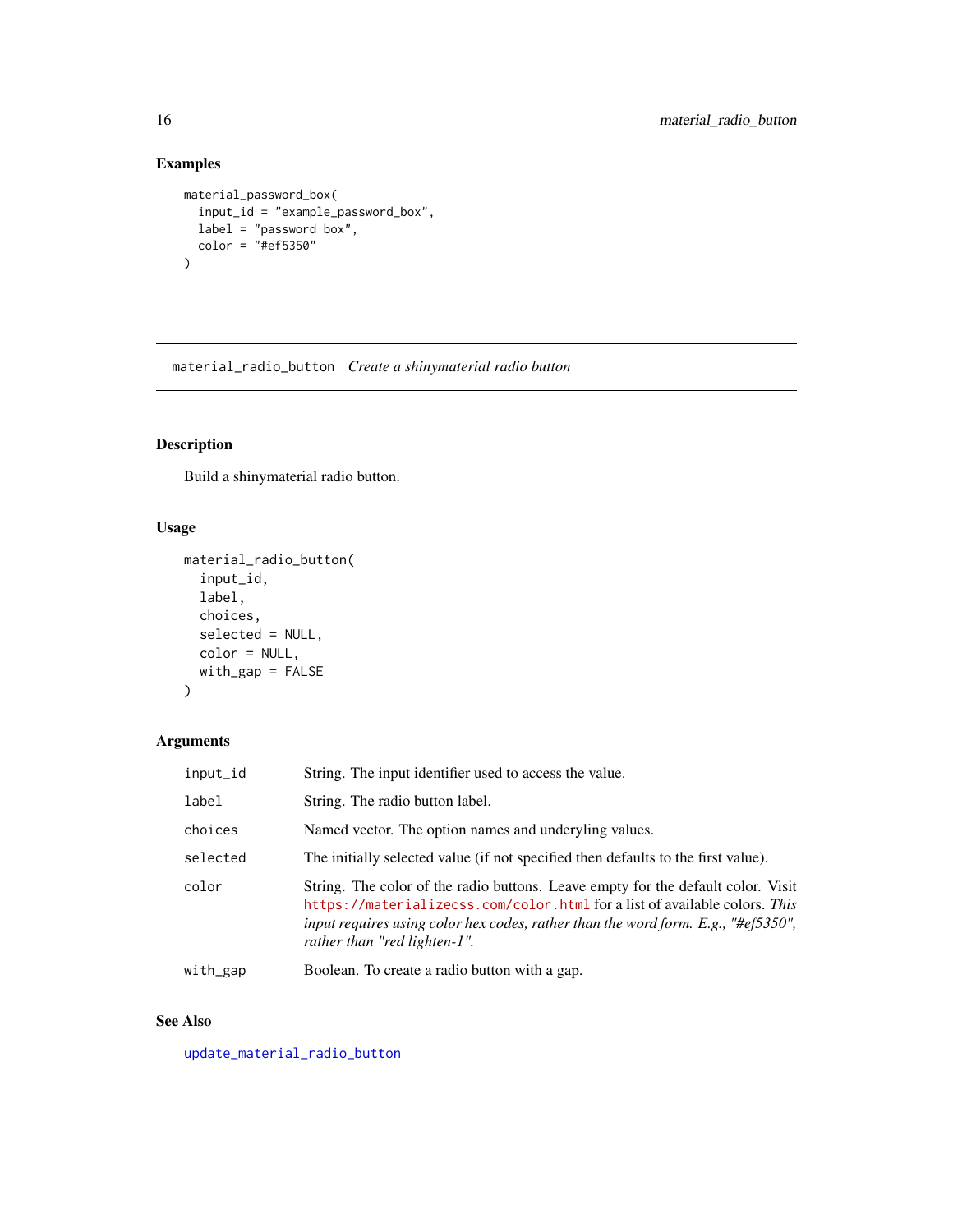### Examples

```
material_password_box(
  input_id = "example_password_box",
  label = "password box",
  color = "#ef5350"
\mathcal{L}
```
<span id="page-15-1"></span>material\_radio\_button *Create a shinymaterial radio button*

### Description

Build a shinymaterial radio button.

### Usage

```
material_radio_button(
  input_id,
 label,
 choices,
  selected = NULL,
 color = NULL,
 with_gap = FALSE
)
```
### Arguments

| input_id | String. The input identifier used to access the value.                                                                                                                                                                                                                              |
|----------|-------------------------------------------------------------------------------------------------------------------------------------------------------------------------------------------------------------------------------------------------------------------------------------|
| label    | String. The radio button label.                                                                                                                                                                                                                                                     |
| choices  | Named vector. The option names and underyling values.                                                                                                                                                                                                                               |
| selected | The initially selected value (if not specified then defaults to the first value).                                                                                                                                                                                                   |
| color    | String. The color of the radio buttons. Leave empty for the default color. Visit<br>https://materializecss.com/color.html for a list of available colors. This<br>input requires using color hex codes, rather than the word form. E.g., "#ef5350",<br>rather than "red lighten-1". |
| with_gap | Boolean. To create a radio button with a gap.                                                                                                                                                                                                                                       |
|          |                                                                                                                                                                                                                                                                                     |

### See Also

[update\\_material\\_radio\\_button](#page-30-2)

<span id="page-15-0"></span>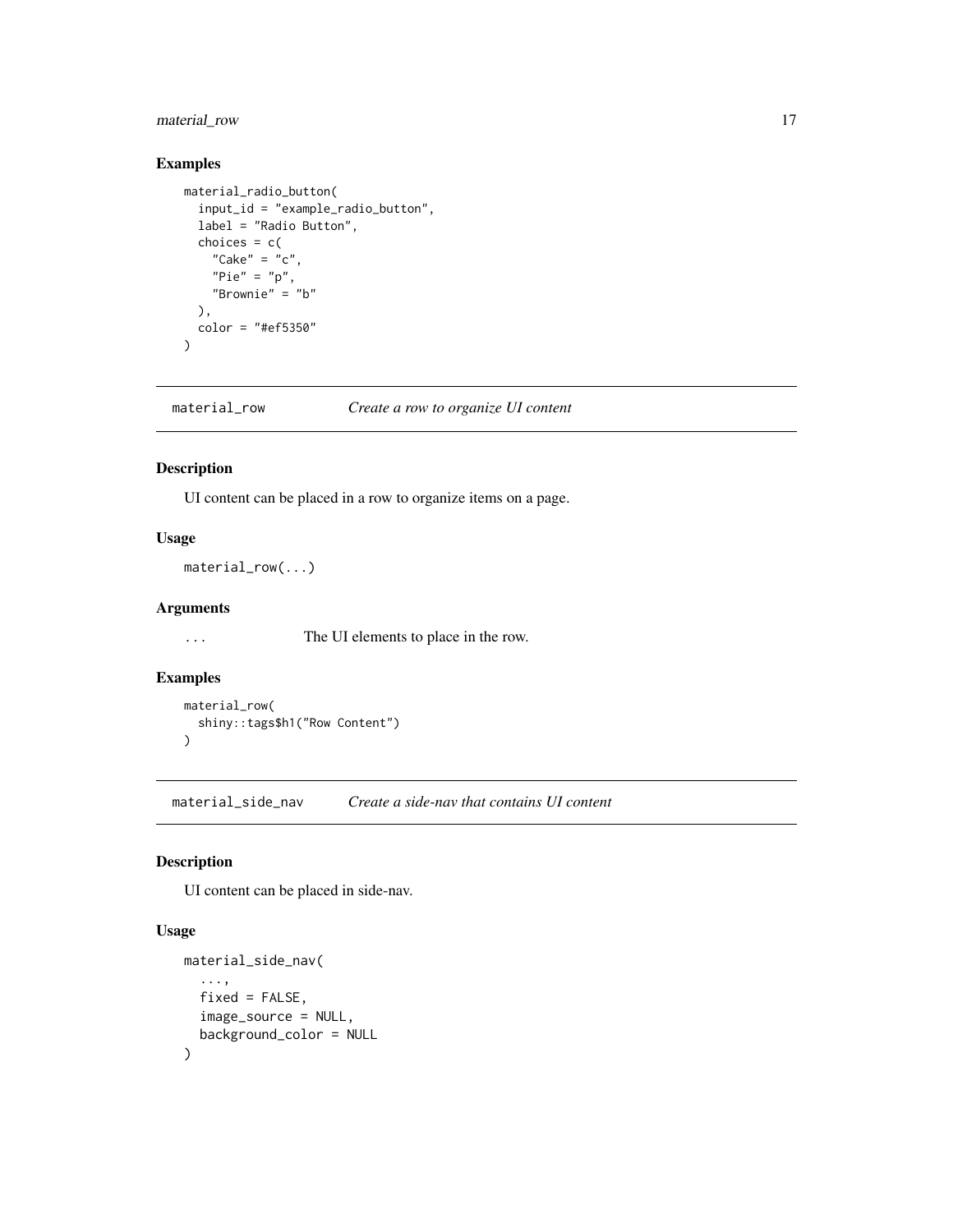### <span id="page-16-0"></span>material\_row 17

#### Examples

```
material_radio_button(
  input_id = "example_radio_button",
  label = "Radio Button",
  choices = c("Cake" = "c",
   "Pie" = "p","Brownie" = "b"
  ),
  color = "#ef5350"
)
```
material\_row *Create a row to organize UI content*

#### Description

UI content can be placed in a row to organize items on a page.

### Usage

material\_row(...)

#### Arguments

... The UI elements to place in the row.

### Examples

```
material_row(
  shiny::tags$h1("Row Content")
)
```
material\_side\_nav *Create a side-nav that contains UI content*

#### Description

UI content can be placed in side-nav.

```
material_side_nav(
  ...,
  fixed = FALSE,image_source = NULL,
  background_color = NULL
\mathcal{E}
```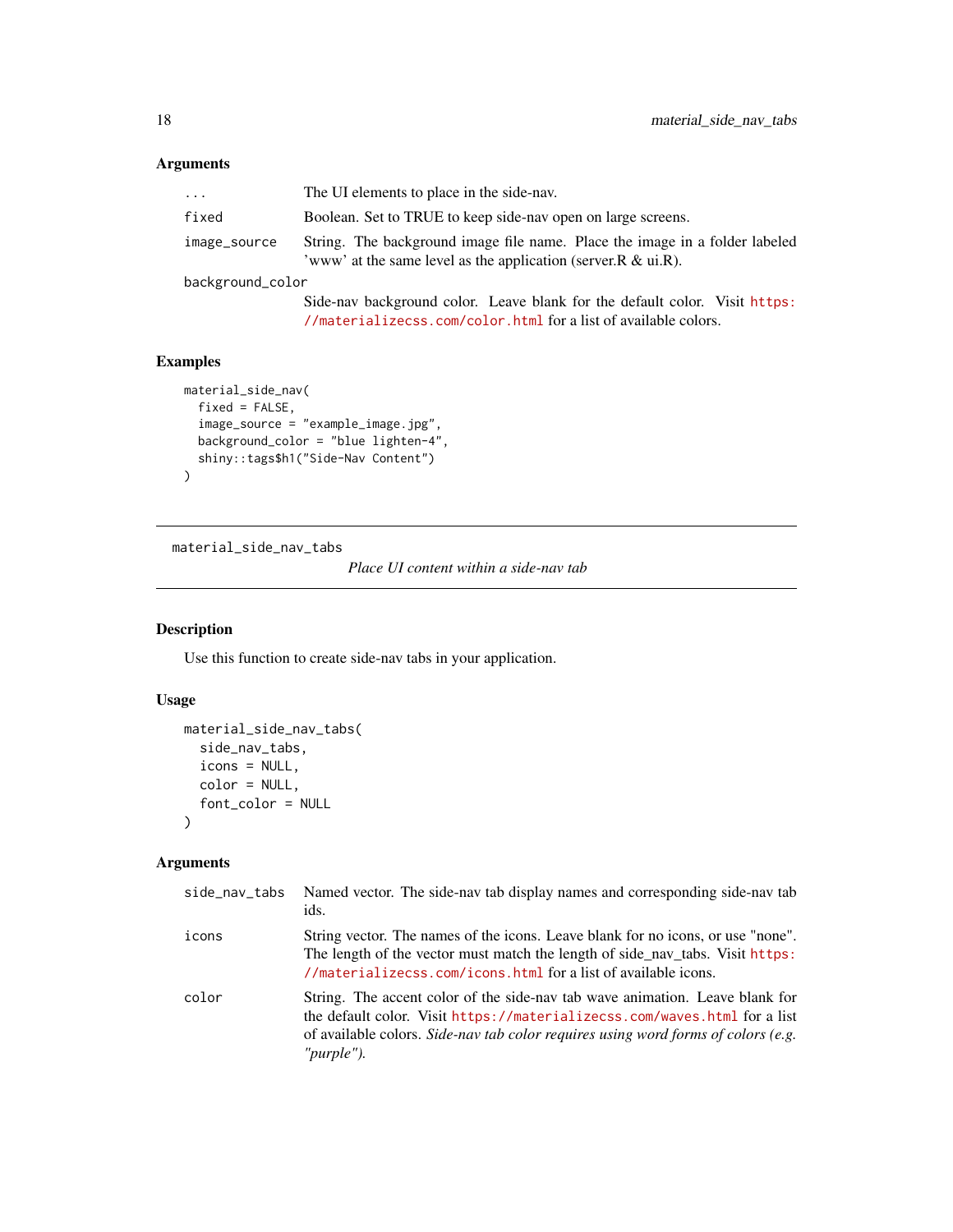<span id="page-17-0"></span>

| $\cdots$         | The UI elements to place in the side-nay.                                                                                                                 |  |
|------------------|-----------------------------------------------------------------------------------------------------------------------------------------------------------|--|
| fixed            | Boolean. Set to TRUE to keep side-nav open on large screens.                                                                                              |  |
| image_source     | String. The background image file name. Place the image in a folder labeled<br>'www' at the same level as the application (server. $R \& \text{ui.} R$ ). |  |
| background_color |                                                                                                                                                           |  |
|                  | Side-nav background color. Leave blank for the default color. Visit https:<br>//materializecss.com/color.html for a list of available colors.             |  |

### Examples

```
material_side_nav(
  fixed = FALSE,image_source = "example_image.jpg",
  background_color = "blue lighten-4",
  shiny::tags$h1("Side-Nav Content")
\mathcal{L}
```
<span id="page-17-1"></span>material\_side\_nav\_tabs

*Place UI content within a side-nav tab*

### Description

Use this function to create side-nav tabs in your application.

### Usage

```
material_side_nav_tabs(
  side_nav_tabs,
  icons = NULL,
 color = NULL,
  font_color = NULL
)
```
### Arguments

| side_nav_tabs | Named vector. The side-nav tab display names and corresponding side-nav tab<br>ids.                                                                                                                                                                          |
|---------------|--------------------------------------------------------------------------------------------------------------------------------------------------------------------------------------------------------------------------------------------------------------|
| icons         | String vector. The names of the icons. Leave blank for no icons, or use "none".<br>The length of the vector must match the length of side nav tabs. Visit https:<br>//materializecss.com/icons.html for a list of available icons.                           |
| color         | String. The accent color of the side-nav tab wave animation. Leave blank for<br>the default color. Visit https://materializecss.com/waves.html for a list<br>of available colors. Side-nav tab color requires using word forms of colors (e.g.<br>"purple"). |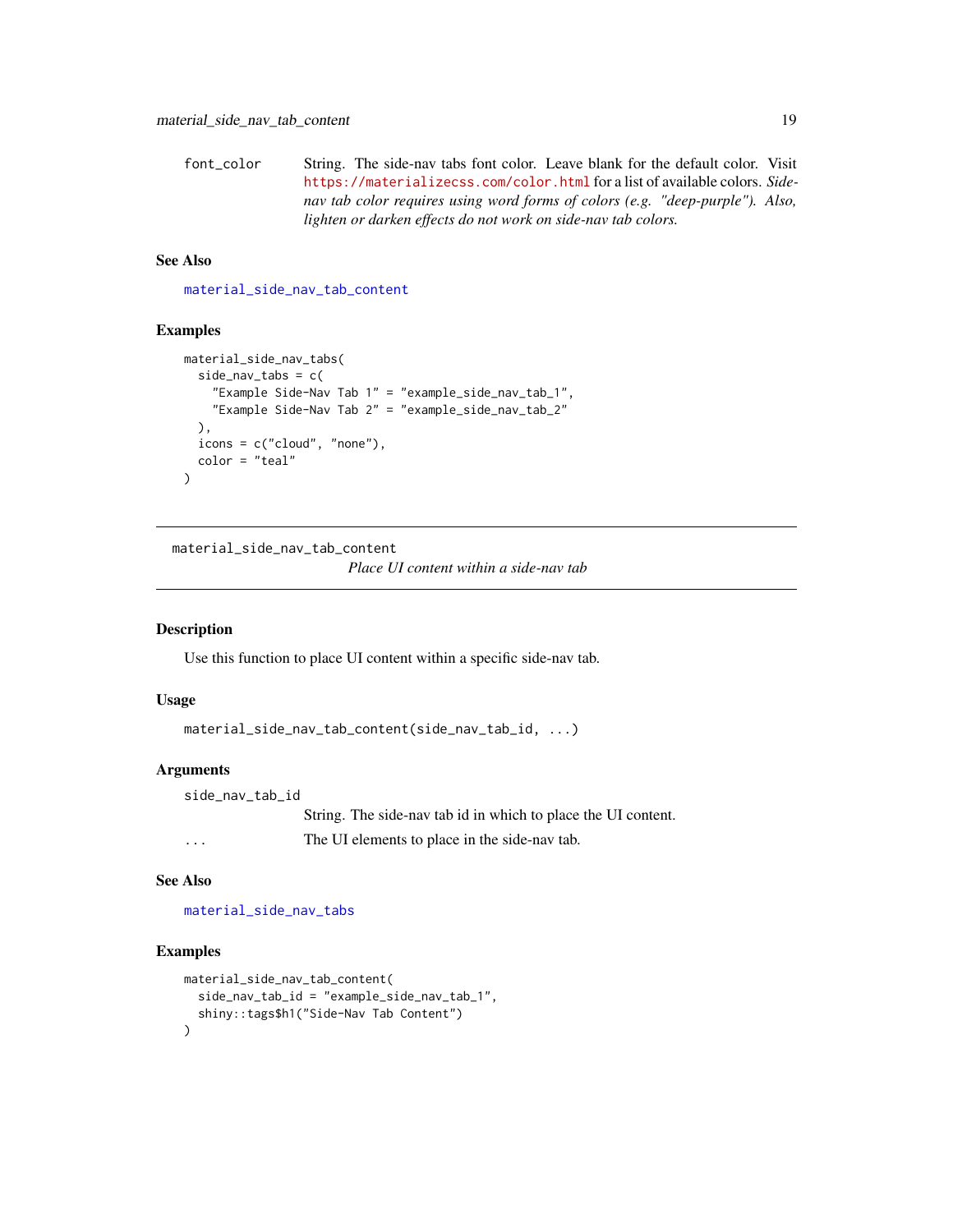```
font_color String. The side-nav tabs font color. Leave blank for the default color. Visit
                  https://materializecss.com/color.html for a list of available colors. Side-
                  nav tab color requires using word forms of colors (e.g. "deep-purple"). Also,
                  lighten or darken effects do not work on side-nav tab colors.
```
#### See Also

[material\\_side\\_nav\\_tab\\_content](#page-18-1)

#### Examples

```
material_side_nav_tabs(
  side_nav_tabs = c(
    "Example Side-Nav Tab 1" = "example_side_nav_tab_1",
    "Example Side-Nav Tab 2" = "example_side_nav_tab_2"
 ),
  icons = c("cloud", "none"),
  color = "teal"
)
```
<span id="page-18-1"></span>material\_side\_nav\_tab\_content

*Place UI content within a side-nav tab*

#### Description

Use this function to place UI content within a specific side-nav tab.

#### Usage

```
material_side_nav_tab_content(side_nav_tab_id, ...)
```
### Arguments

side\_nav\_tab\_id String. The side-nav tab id in which to place the UI content. ... The UI elements to place in the side-nav tab.

#### See Also

[material\\_side\\_nav\\_tabs](#page-17-1)

```
material_side_nav_tab_content(
  side_nav_tab_id = "example_side_nav_tab_1",
  shiny::tags$h1("Side-Nav Tab Content")
)
```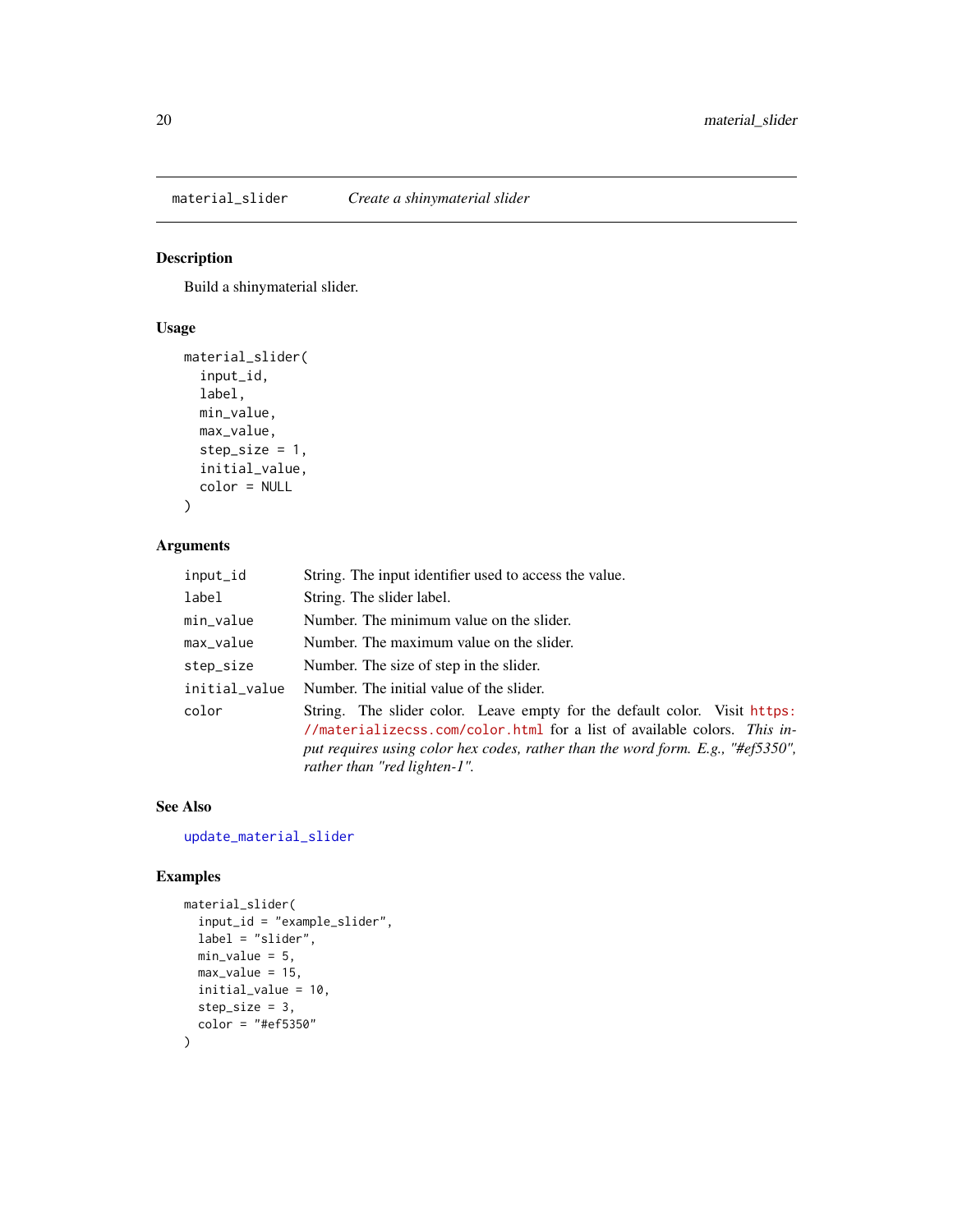<span id="page-19-1"></span><span id="page-19-0"></span>material\_slider *Create a shinymaterial slider*

#### Description

Build a shinymaterial slider.

### Usage

```
material_slider(
  input_id,
  label,
 min_value,
 max_value,
 step_size = 1,
  initial_value,
  color = NULL
)
```
### Arguments

| input_id      | String. The input identifier used to access the value.                                                                                                                                                                                                                   |
|---------------|--------------------------------------------------------------------------------------------------------------------------------------------------------------------------------------------------------------------------------------------------------------------------|
| label         | String. The slider label.                                                                                                                                                                                                                                                |
| min_value     | Number. The minimum value on the slider.                                                                                                                                                                                                                                 |
| max_value     | Number. The maximum value on the slider.                                                                                                                                                                                                                                 |
| step_size     | Number. The size of step in the slider.                                                                                                                                                                                                                                  |
| initial_value | Number. The initial value of the slider.                                                                                                                                                                                                                                 |
| color         | String. The slider color. Leave empty for the default color. Visit https:<br>//materializecss.com/color.html for a list of available colors. This in-<br>put requires using color hex codes, rather than the word form. E.g., "#ef5350",<br>rather than "red lighten-1". |

#### See Also

[update\\_material\\_slider](#page-31-1)

```
material_slider(
 input_id = "example_slider",
 label = "slider",
 min_value = 5,max_value = 15,
 initial_value = 10,
  step_size = 3,
  color = "#ef5350"
\mathcal{L}
```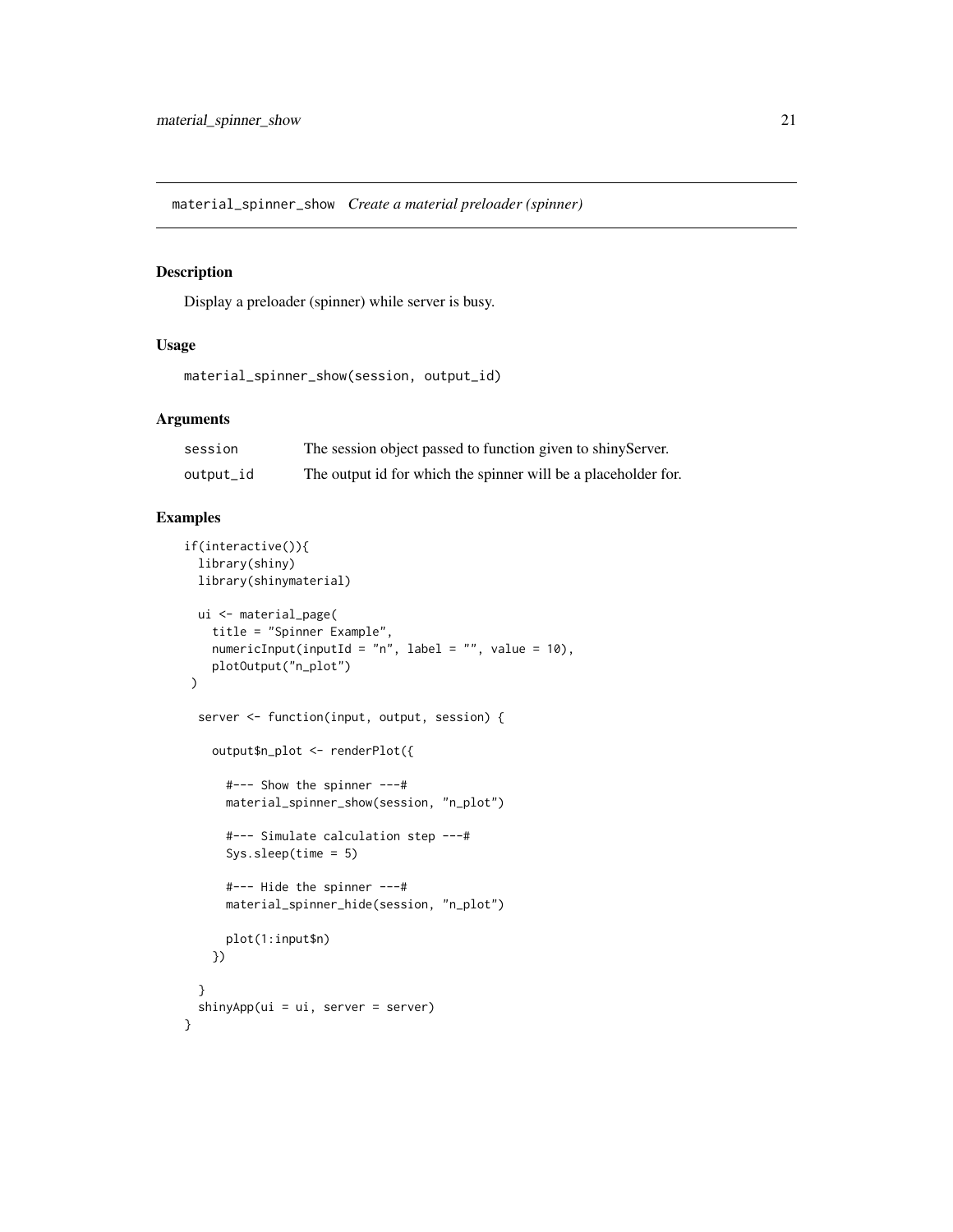<span id="page-20-0"></span>material\_spinner\_show *Create a material preloader (spinner)*

### Description

Display a preloader (spinner) while server is busy.

#### Usage

```
material_spinner_show(session, output_id)
```
### Arguments

| session   | The session object passed to function given to shiny Server.   |
|-----------|----------------------------------------------------------------|
| output_id | The output id for which the spinner will be a placeholder for. |

```
if(interactive()){
 library(shiny)
 library(shinymaterial)
 ui <- material_page(
   title = "Spinner Example",
   numericInput(inputId = "n", label = "", value = 10),
   plotOutput("n_plot")
\mathcal{L}server <- function(input, output, session) {
   output$n_plot <- renderPlot({
      #--- Show the spinner ---#
     material_spinner_show(session, "n_plot")
      #--- Simulate calculation step ---#
      Sys.sleep(time = 5)
      #--- Hide the spinner ---#
      material_spinner_hide(session, "n_plot")
      plot(1:input$n)
   })
 }
 shinyApp(ui = ui, server = server)
}
```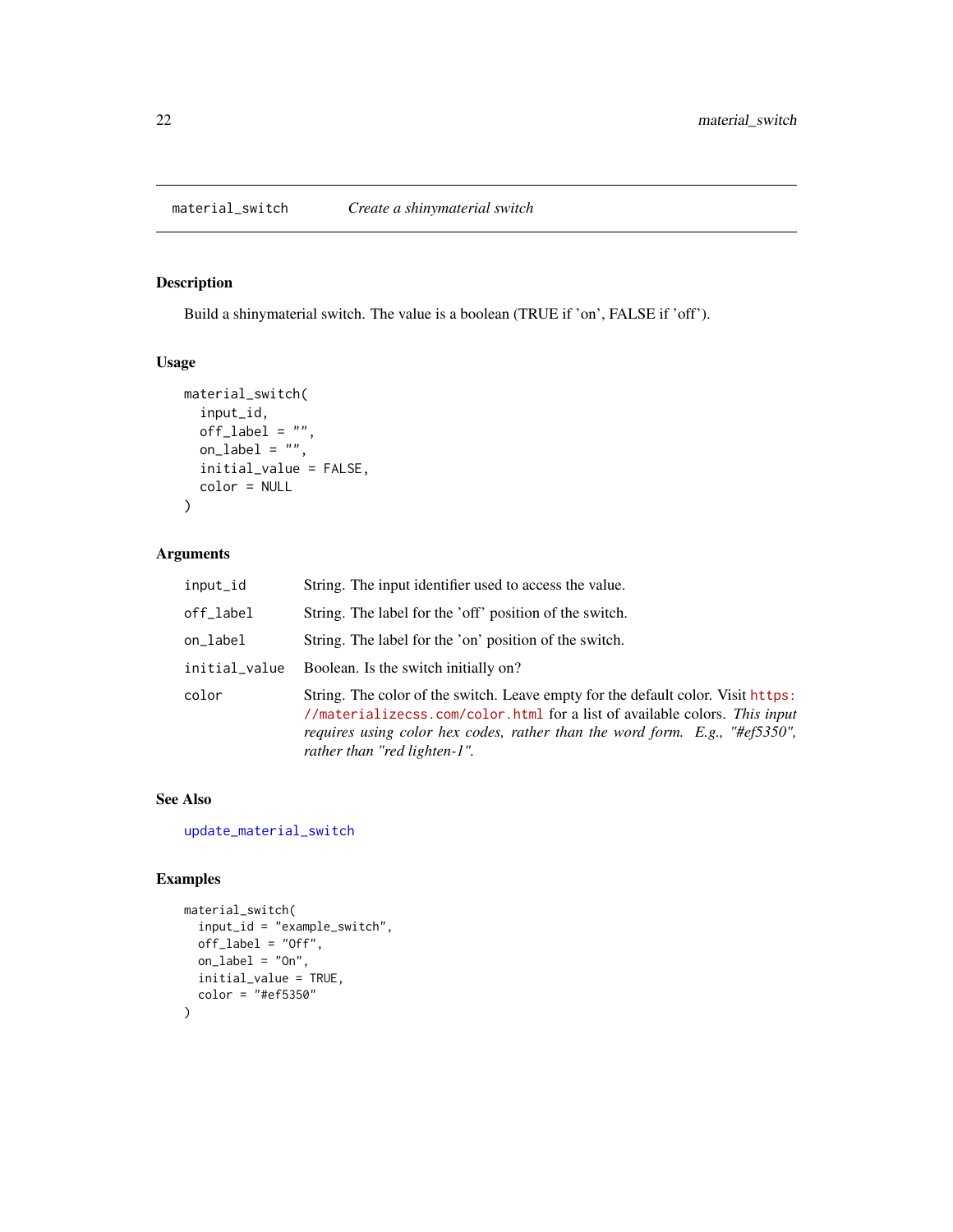## <span id="page-21-1"></span><span id="page-21-0"></span>Description

Build a shinymaterial switch. The value is a boolean (TRUE if 'on', FALSE if 'off').

### Usage

```
material_switch(
  input_id,
 off\_label = "",
 on_label = ",
  initial_value = FALSE,
 color = NULL
)
```
#### Arguments

| input_id      | String. The input identifier used to access the value.                                                                                                                                                                                                                        |
|---------------|-------------------------------------------------------------------------------------------------------------------------------------------------------------------------------------------------------------------------------------------------------------------------------|
| off_label     | String. The label for the 'off' position of the switch.                                                                                                                                                                                                                       |
| on_label      | String. The label for the 'on' position of the switch.                                                                                                                                                                                                                        |
| initial_value | Boolean. Is the switch initially on?                                                                                                                                                                                                                                          |
| color         | String. The color of the switch. Leave empty for the default color. Visit https:<br>//materializecss.com/color.html for a list of available colors. This input<br>requires using color hex codes, rather than the word form. E.g., "#ef5350",<br>rather than "red lighten-1". |

### See Also

[update\\_material\\_switch](#page-32-1)

```
material_switch(
  input_id = "example_switch",
  off_label = "Off",
 on \_label = "On",initial_value = TRUE,
  color = "#ef5350"
)
```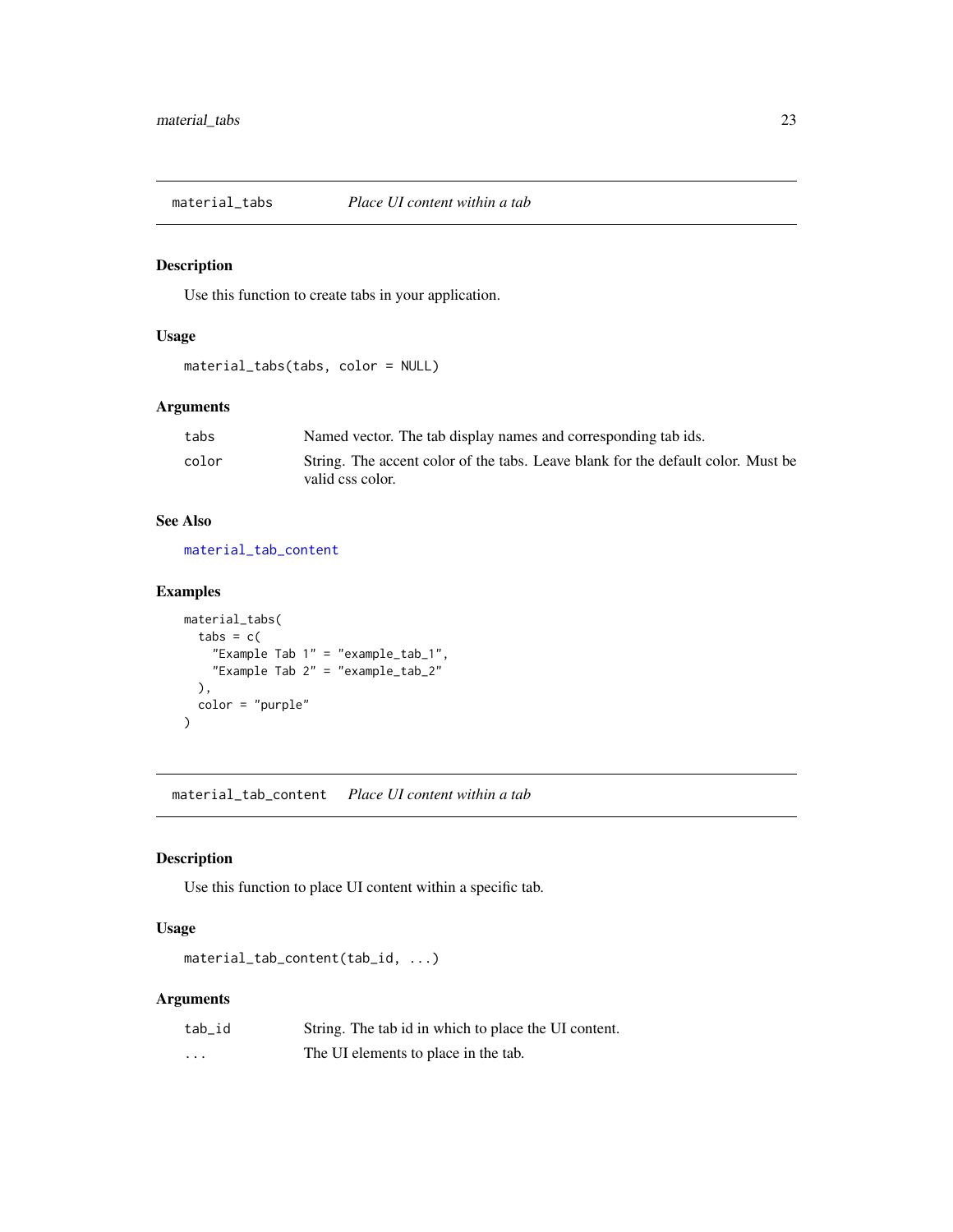<span id="page-22-2"></span><span id="page-22-0"></span>

#### Description

Use this function to create tabs in your application.

### Usage

```
material_tabs(tabs, color = NULL)
```
### Arguments

| tabs  | Named vector. The tab display names and corresponding tab ids.                   |
|-------|----------------------------------------------------------------------------------|
| color | String. The accent color of the tabs. Leave blank for the default color. Must be |
|       | valid css color.                                                                 |

### See Also

[material\\_tab\\_content](#page-22-1)

### Examples

```
material_tabs(
  tabs = c("Example Tab 1" = "example_tab_1",
    "Example Tab 2" = "example_tab_2"
  ),
  color = "purple"
)
```
<span id="page-22-1"></span>material\_tab\_content *Place UI content within a tab*

### Description

Use this function to place UI content within a specific tab.

### Usage

```
material_tab_content(tab_id, ...)
```
### Arguments

| tab id   | String. The tab id in which to place the UI content. |
|----------|------------------------------------------------------|
| $\cdots$ | The UI elements to place in the tab.                 |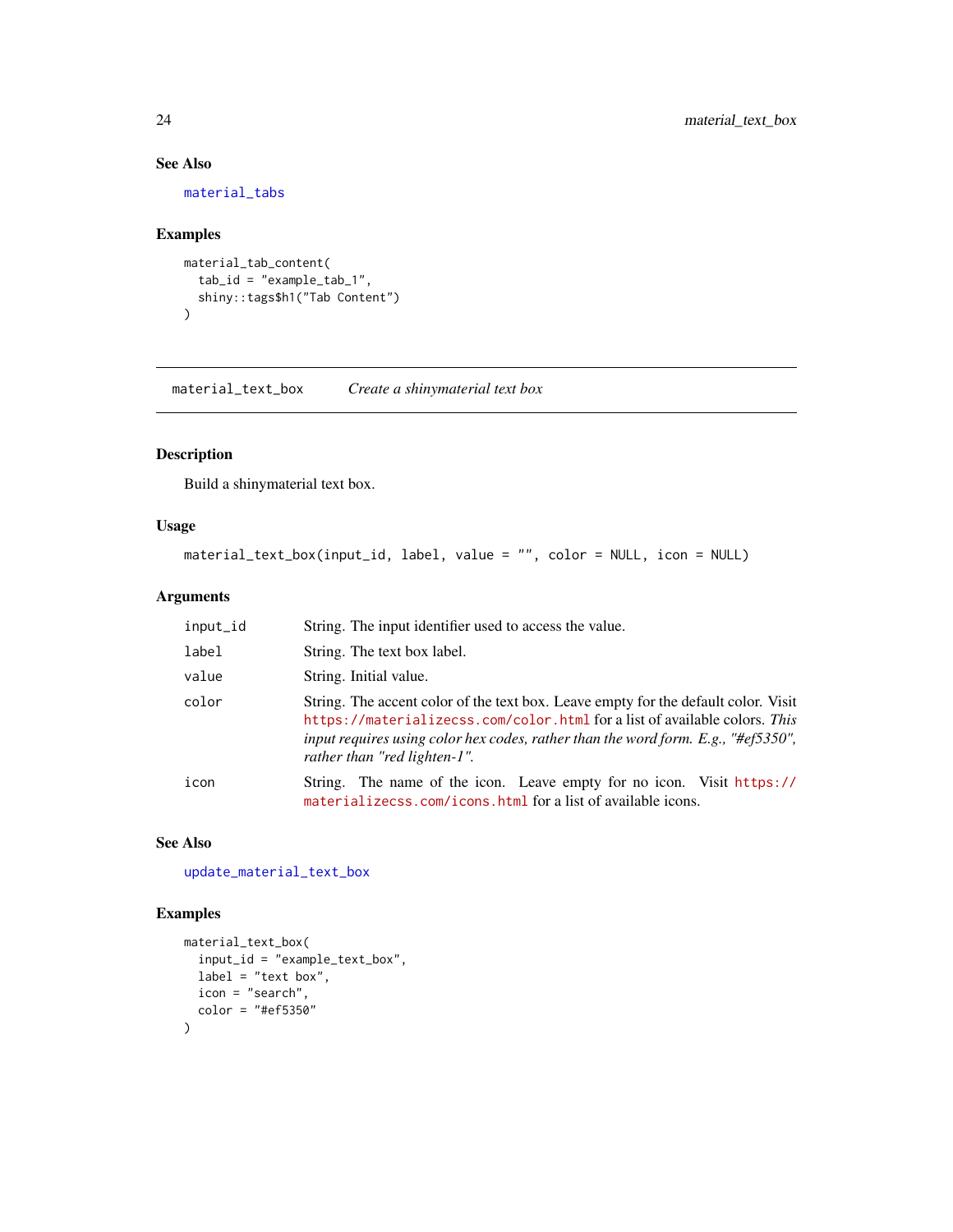### See Also

[material\\_tabs](#page-22-2)

### Examples

```
material_tab_content(
  tab_id = "example_tab_1",
  shiny::tags$h1("Tab Content")
)
```
<span id="page-23-1"></span>material\_text\_box *Create a shinymaterial text box*

### Description

Build a shinymaterial text box.

#### Usage

```
material_text_box(input_id, label, value = "", color = NULL, icon = NULL)
```
### Arguments

| input_id | String. The input identifier used to access the value.                                                                                                                                                                                                                                |
|----------|---------------------------------------------------------------------------------------------------------------------------------------------------------------------------------------------------------------------------------------------------------------------------------------|
| label    | String. The text box label.                                                                                                                                                                                                                                                           |
| value    | String. Initial value.                                                                                                                                                                                                                                                                |
| color    | String. The accent color of the text box. Leave empty for the default color. Visit<br>https://materializecss.com/color.html for a list of available colors. This<br>input requires using color hex codes, rather than the word form. E.g., "#ef5350",<br>rather than "red lighten-1". |
| icon     | String. The name of the icon. Leave empty for no icon. Visit https://<br>materializecss.com/icons.html for a list of available icons.                                                                                                                                                 |

#### See Also

[update\\_material\\_text\\_box](#page-33-1)

```
material_text_box(
  input_id = "example_text_box",
  label = "text box",
  icon = "search",
  color = "#ef5350"
\overline{\phantom{a}}
```
<span id="page-23-0"></span>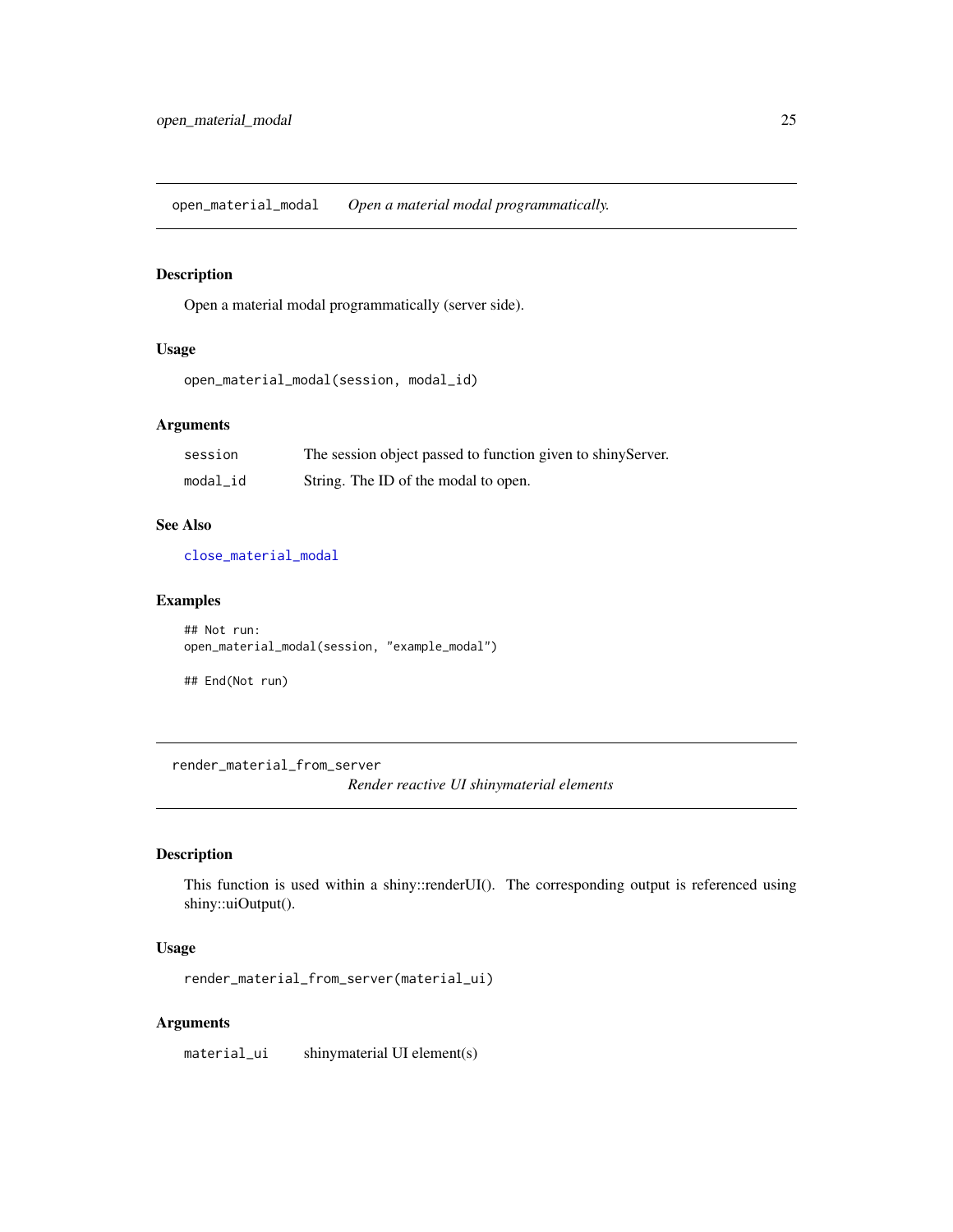<span id="page-24-1"></span><span id="page-24-0"></span>open\_material\_modal *Open a material modal programmatically.*

#### Description

Open a material modal programmatically (server side).

### Usage

```
open_material_modal(session, modal_id)
```
### Arguments

| session  | The session object passed to function given to shiny Server. |
|----------|--------------------------------------------------------------|
| modal_id | String. The ID of the modal to open.                         |

#### See Also

[close\\_material\\_modal](#page-1-1)

#### Examples

```
## Not run:
open_material_modal(session, "example_modal")
```
## End(Not run)

render\_material\_from\_server

*Render reactive UI shinymaterial elements*

### Description

This function is used within a shiny::renderUI(). The corresponding output is referenced using shiny::uiOutput().

### Usage

render\_material\_from\_server(material\_ui)

#### Arguments

material\_ui shinymaterial UI element(s)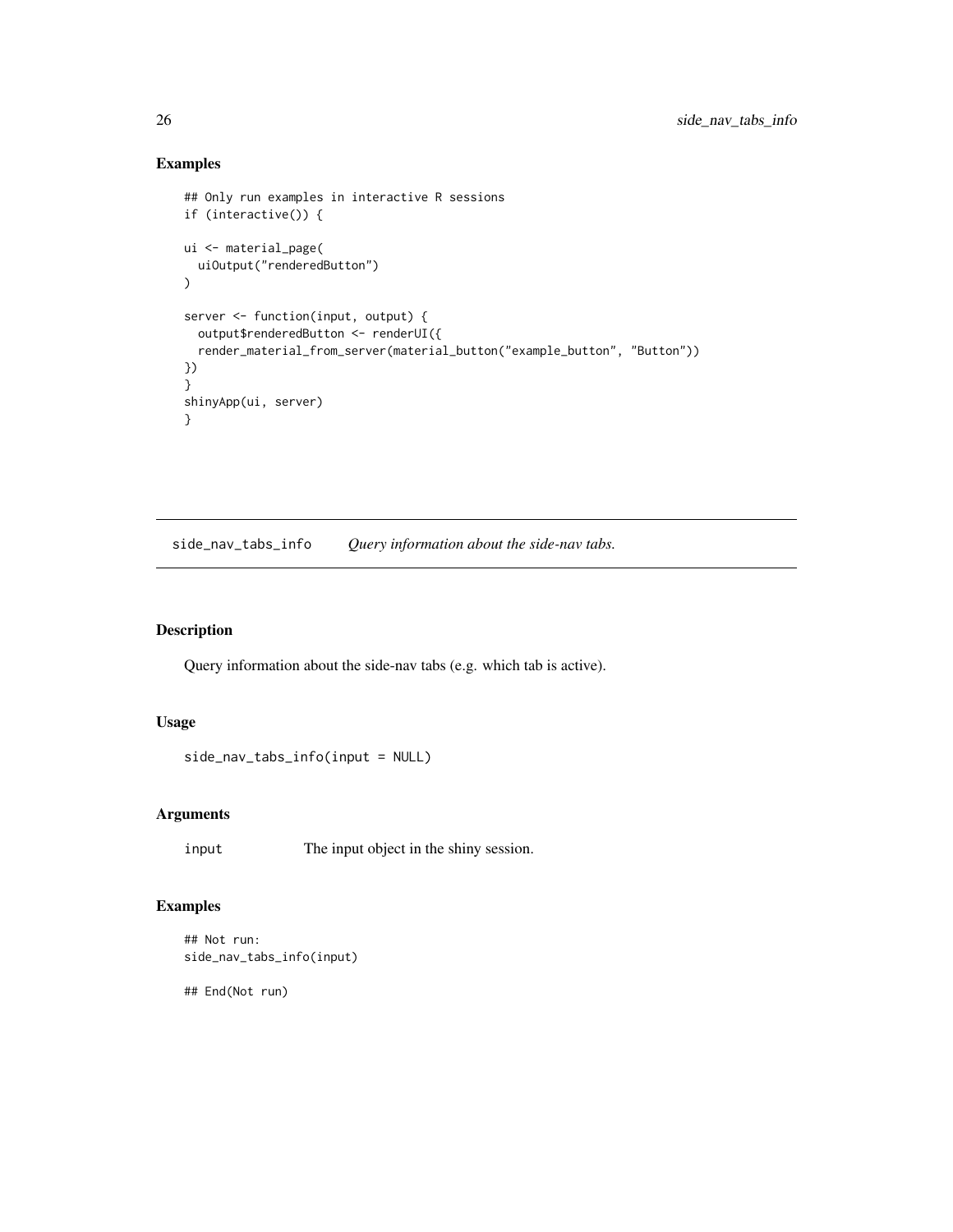#### Examples

```
## Only run examples in interactive R sessions
if (interactive()) {
ui <- material_page(
  uiOutput("renderedButton")
)
server <- function(input, output) {
  output$renderedButton <- renderUI({
  render_material_from_server(material_button("example_button", "Button"))
})
}
shinyApp(ui, server)
}
```
side\_nav\_tabs\_info *Query information about the side-nav tabs.*

### Description

Query information about the side-nav tabs (e.g. which tab is active).

#### Usage

```
side_nav_tabs_info(input = NULL)
```
### Arguments

input The input object in the shiny session.

### Examples

```
## Not run:
side_nav_tabs_info(input)
```
## End(Not run)

<span id="page-25-0"></span>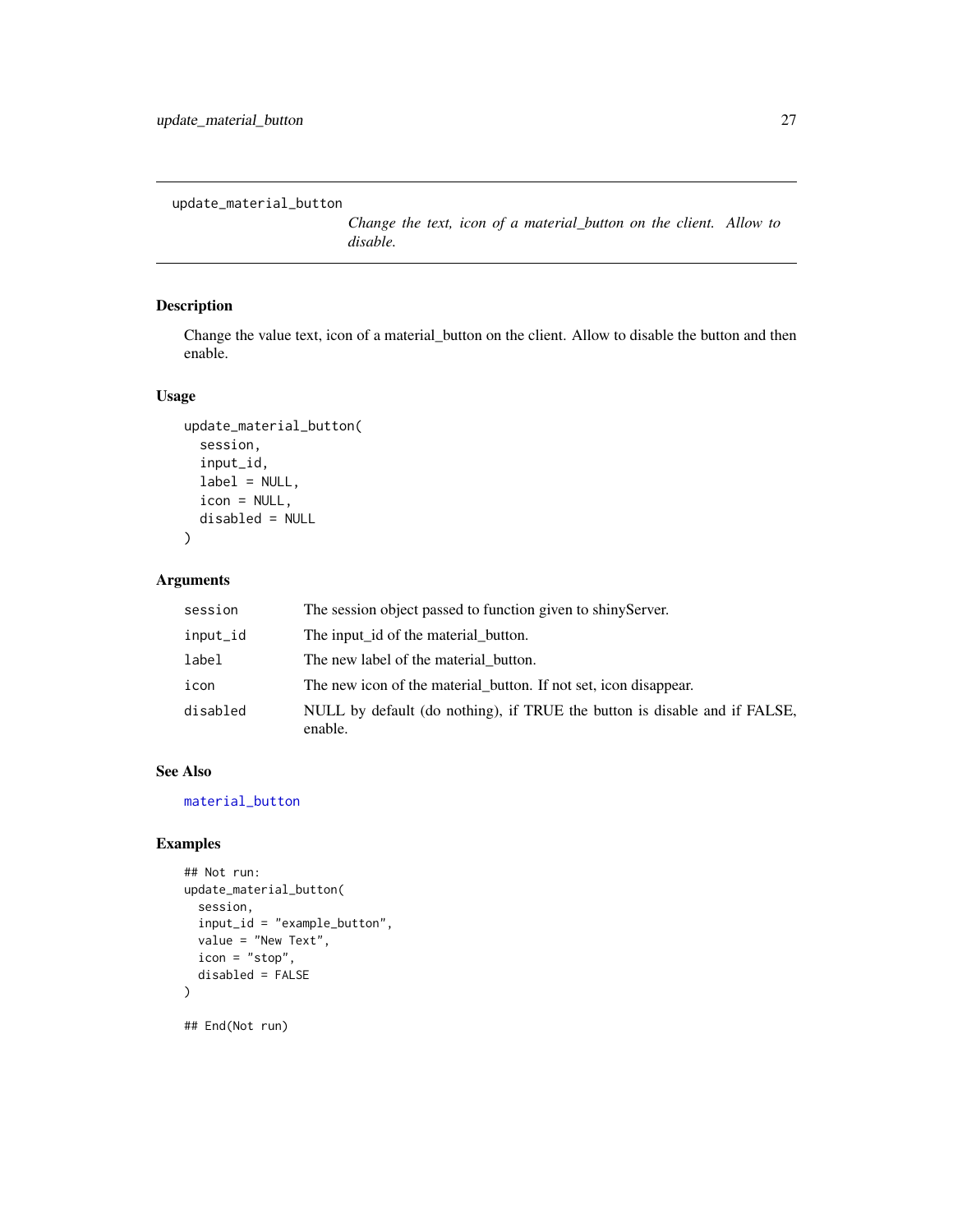<span id="page-26-1"></span><span id="page-26-0"></span>update\_material\_button

*Change the text, icon of a material\_button on the client. Allow to disable.*

### Description

Change the value text, icon of a material\_button on the client. Allow to disable the button and then enable.

### Usage

```
update_material_button(
  session,
  input_id,
  label = NULL,icon = NULL,
  disabled = NULL
)
```
#### Arguments

| session  | The session object passed to function given to shiny Server.                         |
|----------|--------------------------------------------------------------------------------------|
| input_id | The input id of the material button.                                                 |
| label    | The new label of the material button.                                                |
| icon     | The new icon of the material button. If not set, icon disappear.                     |
| disabled | NULL by default (do nothing), if TRUE the button is disable and if FALSE,<br>enable. |

#### See Also

[material\\_button](#page-2-1)

```
## Not run:
update_material_button(
  session,
  input_id = "example_button",
  value = "New Text",
  icon = "stop",
  disabled = FALSE
\overline{\phantom{a}}## End(Not run)
```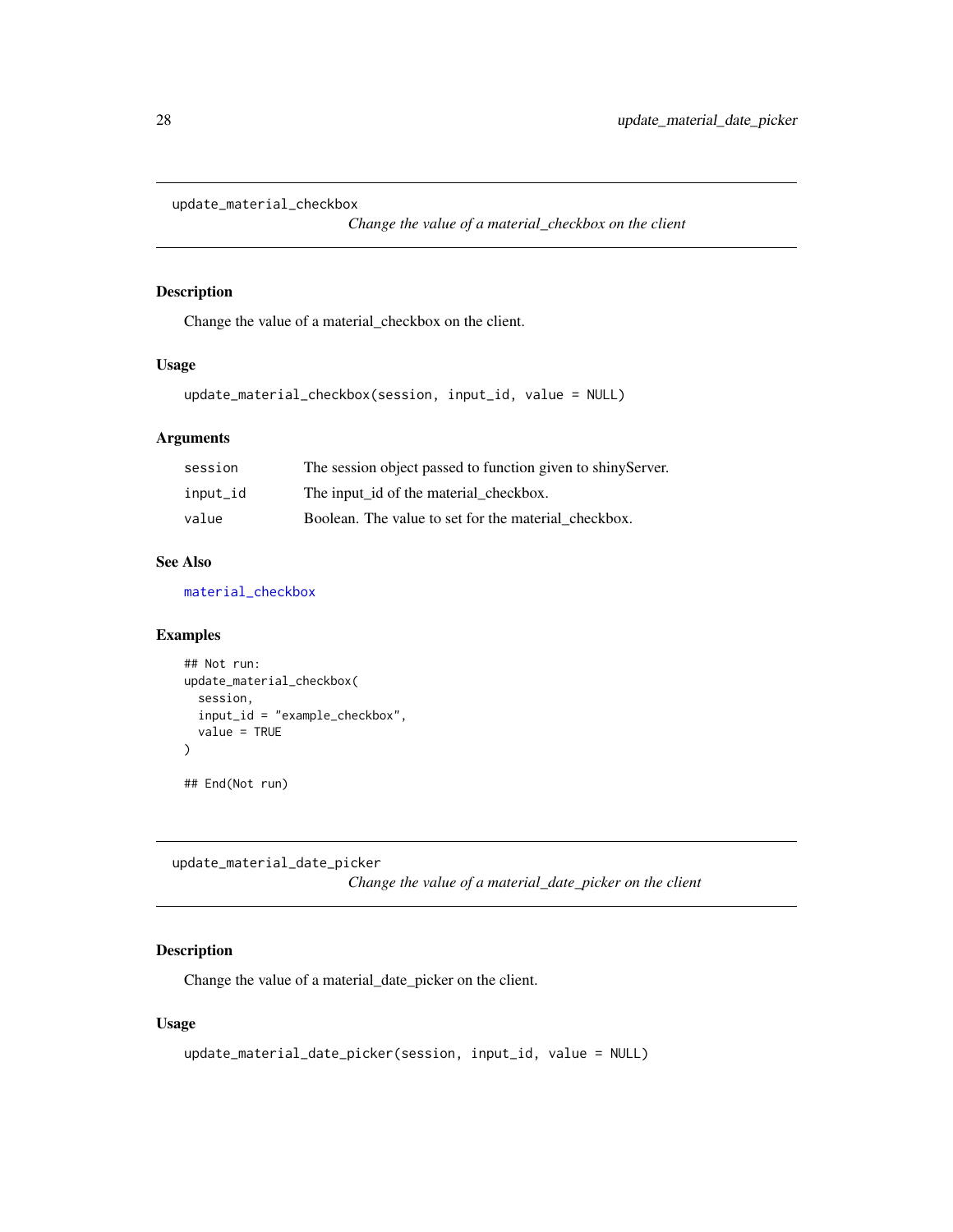```
update_material_checkbox
```
*Change the value of a material\_checkbox on the client*

### Description

Change the value of a material\_checkbox on the client.

#### Usage

```
update_material_checkbox(session, input_id, value = NULL)
```
### Arguments

| session  | The session object passed to function given to shiny Server. |
|----------|--------------------------------------------------------------|
| input_id | The input id of the material checkbox.                       |
| value    | Boolean. The value to set for the material checkbox.         |

#### See Also

[material\\_checkbox](#page-4-1)

#### Examples

```
## Not run:
update_material_checkbox(
  session,
  input_id = "example_checkbox",
  value = TRUE
)
## End(Not run)
```
<span id="page-27-2"></span>update\_material\_date\_picker

*Change the value of a material\_date\_picker on the client*

### Description

Change the value of a material\_date\_picker on the client.

```
update_material_date_picker(session, input_id, value = NULL)
```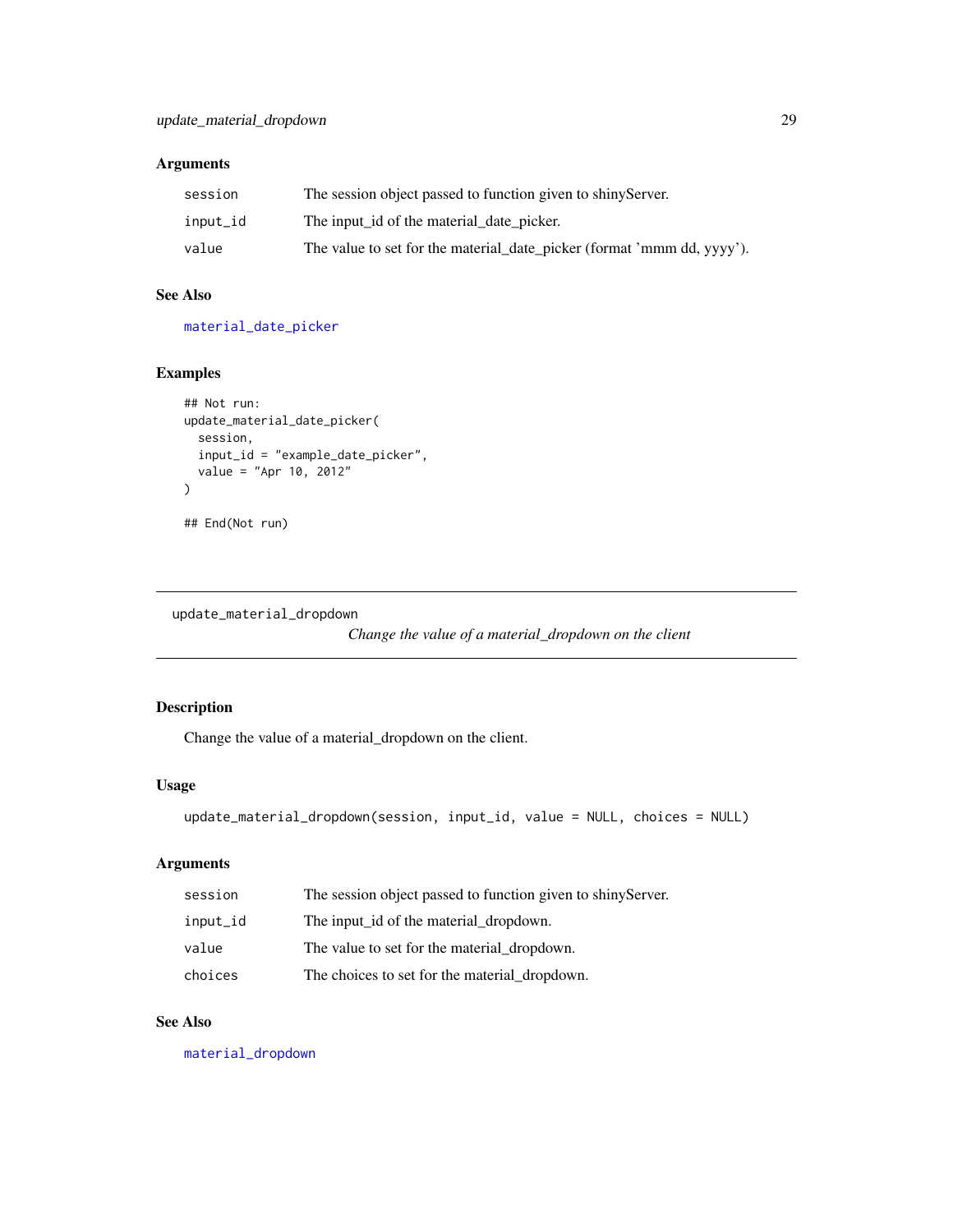<span id="page-28-0"></span>

| session  | The session object passed to function given to shiny Server.           |
|----------|------------------------------------------------------------------------|
| input_id | The input id of the material date picker.                              |
| value    | The value to set for the material_date_picker (format 'mmm dd, yyyy'). |

#### See Also

[material\\_date\\_picker](#page-5-1)

#### Examples

```
## Not run:
update_material_date_picker(
  session,
  input_id = "example_date_picker",
  value = "Apr 10, 2012"
\mathcal{L}## End(Not run)
```
<span id="page-28-1"></span>update\_material\_dropdown

*Change the value of a material\_dropdown on the client*

### Description

Change the value of a material\_dropdown on the client.

#### Usage

```
update_material_dropdown(session, input_id, value = NULL, choices = NULL)
```
### Arguments

| session  | The session object passed to function given to shiny Server. |
|----------|--------------------------------------------------------------|
| input_id | The input id of the material dropdown.                       |
| value    | The value to set for the material_dropdown.                  |
| choices  | The choices to set for the material_dropdown.                |

### See Also

[material\\_dropdown](#page-6-1)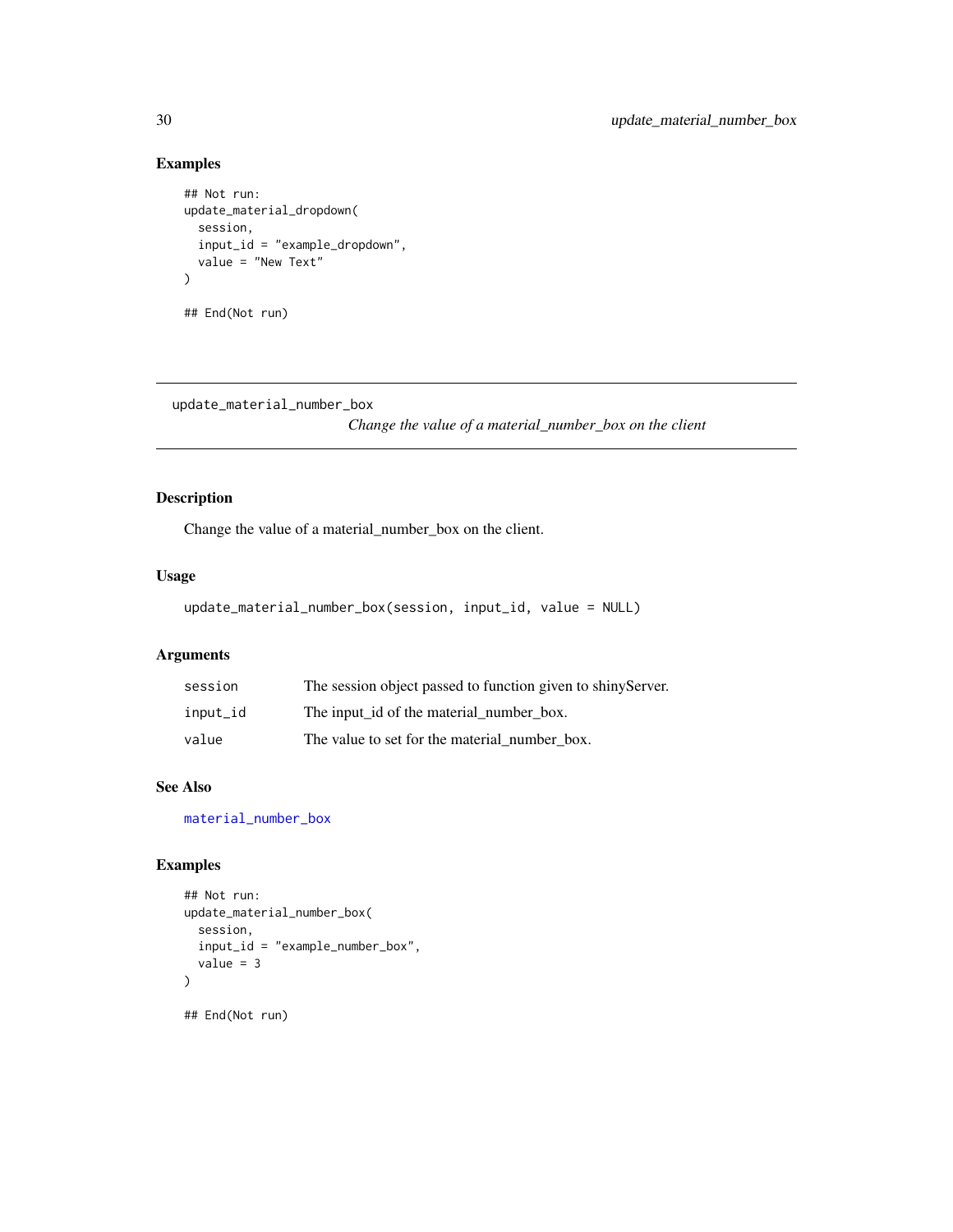### Examples

```
## Not run:
update_material_dropdown(
  session,
  input_id = "example_dropdown",
  value = "New Text"
)
## End(Not run)
```
<span id="page-29-1"></span>update\_material\_number\_box

*Change the value of a material\_number\_box on the client*

### Description

Change the value of a material\_number\_box on the client.

#### Usage

```
update_material_number_box(session, input_id, value = NULL)
```
### Arguments

| session  | The session object passed to function given to shiny Server. |
|----------|--------------------------------------------------------------|
| input_id | The input id of the material number box.                     |
| value    | The value to set for the material number box.                |

### See Also

[material\\_number\\_box](#page-11-1)

```
## Not run:
update_material_number_box(
  session,
  input_id = "example_number_box",
  value = 3
)
## End(Not run)
```
<span id="page-29-0"></span>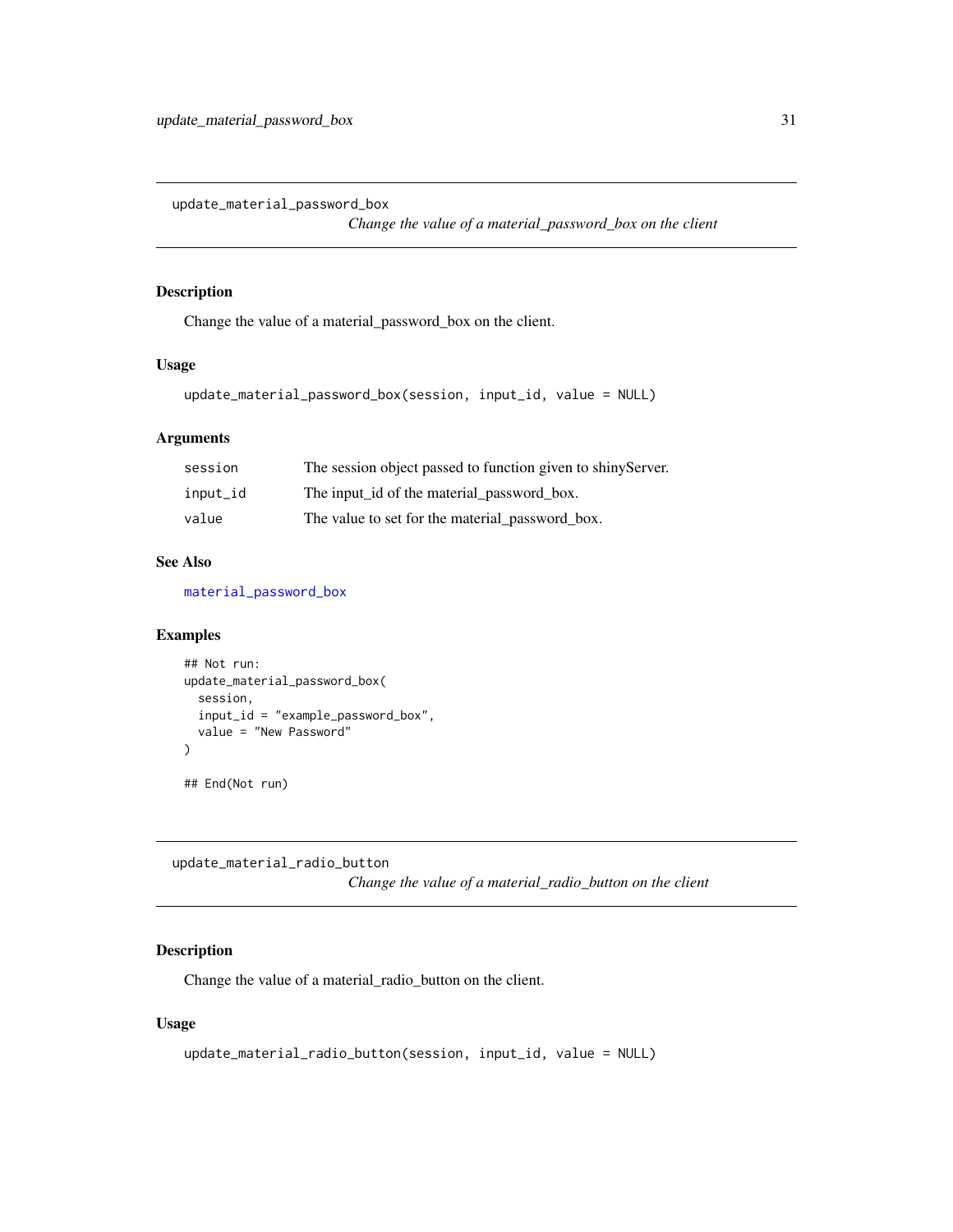<span id="page-30-1"></span><span id="page-30-0"></span>update\_material\_password\_box

*Change the value of a material\_password\_box on the client*

#### Description

Change the value of a material\_password\_box on the client.

#### Usage

```
update_material_password_box(session, input_id, value = NULL)
```
### Arguments

| session  | The session object passed to function given to shiny Server. |
|----------|--------------------------------------------------------------|
| input_id | The input_id of the material_password_box.                   |
| value    | The value to set for the material password box.              |

#### See Also

[material\\_password\\_box](#page-14-1)

#### Examples

```
## Not run:
update_material_password_box(
  session,
  input_id = "example_password_box",
  value = "New Password"
)
## End(Not run)
```
<span id="page-30-2"></span>update\_material\_radio\_button

*Change the value of a material\_radio\_button on the client*

### Description

Change the value of a material\_radio\_button on the client.

```
update_material_radio_button(session, input_id, value = NULL)
```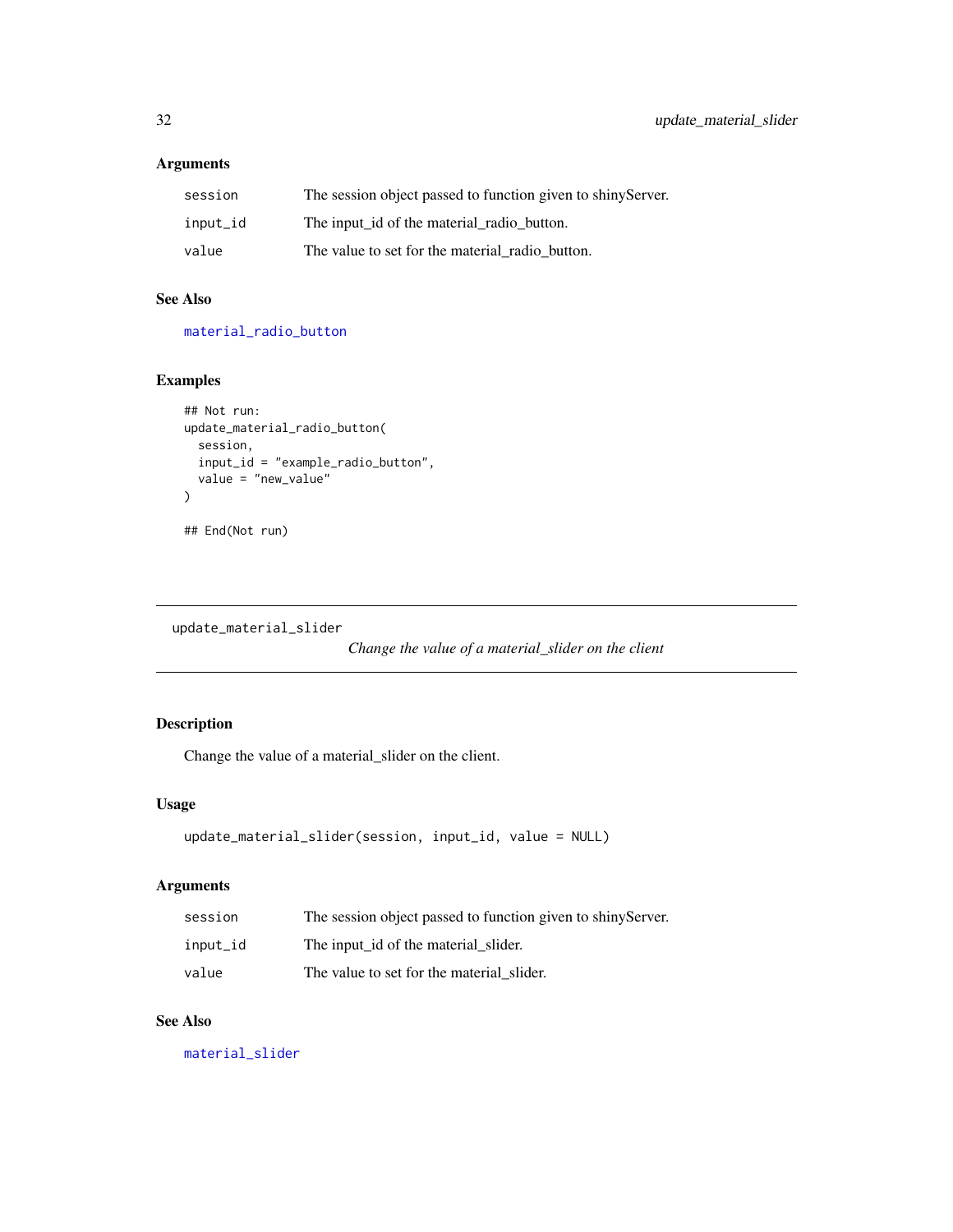<span id="page-31-0"></span>

| session  | The session object passed to function given to shiny Server. |
|----------|--------------------------------------------------------------|
| input_id | The input id of the material radio button.                   |
| value    | The value to set for the material radio button.              |

### See Also

[material\\_radio\\_button](#page-15-1)

### Examples

```
## Not run:
update_material_radio_button(
  session,
  input_id = "example_radio_button",
  value = "new_value"
\mathcal{L}## End(Not run)
```
<span id="page-31-1"></span>update\_material\_slider

*Change the value of a material\_slider on the client*

### Description

Change the value of a material\_slider on the client.

#### Usage

```
update_material_slider(session, input_id, value = NULL)
```
### Arguments

| session  | The session object passed to function given to shiny Server. |
|----------|--------------------------------------------------------------|
| input_id | The input id of the material slider.                         |
| value    | The value to set for the material slider.                    |

### See Also

[material\\_slider](#page-19-1)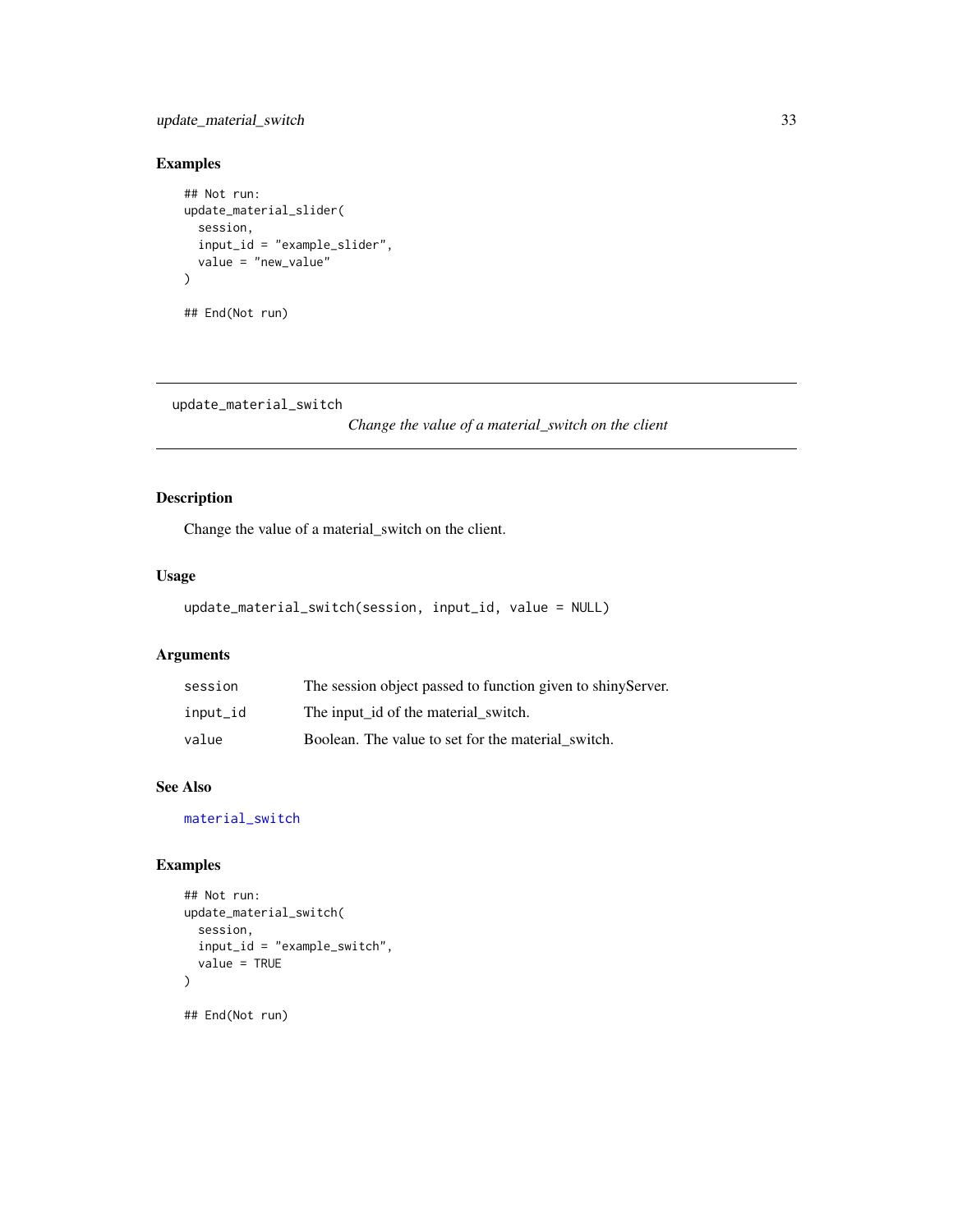### <span id="page-32-0"></span>update\_material\_switch 33

### Examples

```
## Not run:
update_material_slider(
  session,
  input_id = "example_slider",
  value = "new_value"
)
## End(Not run)
```
<span id="page-32-1"></span>update\_material\_switch

*Change the value of a material\_switch on the client*

### Description

Change the value of a material\_switch on the client.

#### Usage

```
update_material_switch(session, input_id, value = NULL)
```
### Arguments

| session  | The session object passed to function given to shiny Server. |
|----------|--------------------------------------------------------------|
| input_id | The input id of the material switch.                         |
| value    | Boolean. The value to set for the material switch.           |

### See Also

[material\\_switch](#page-21-1)

```
## Not run:
update_material_switch(
  session,
  input_id = "example_switch",
  value = TRUE
)
## End(Not run)
```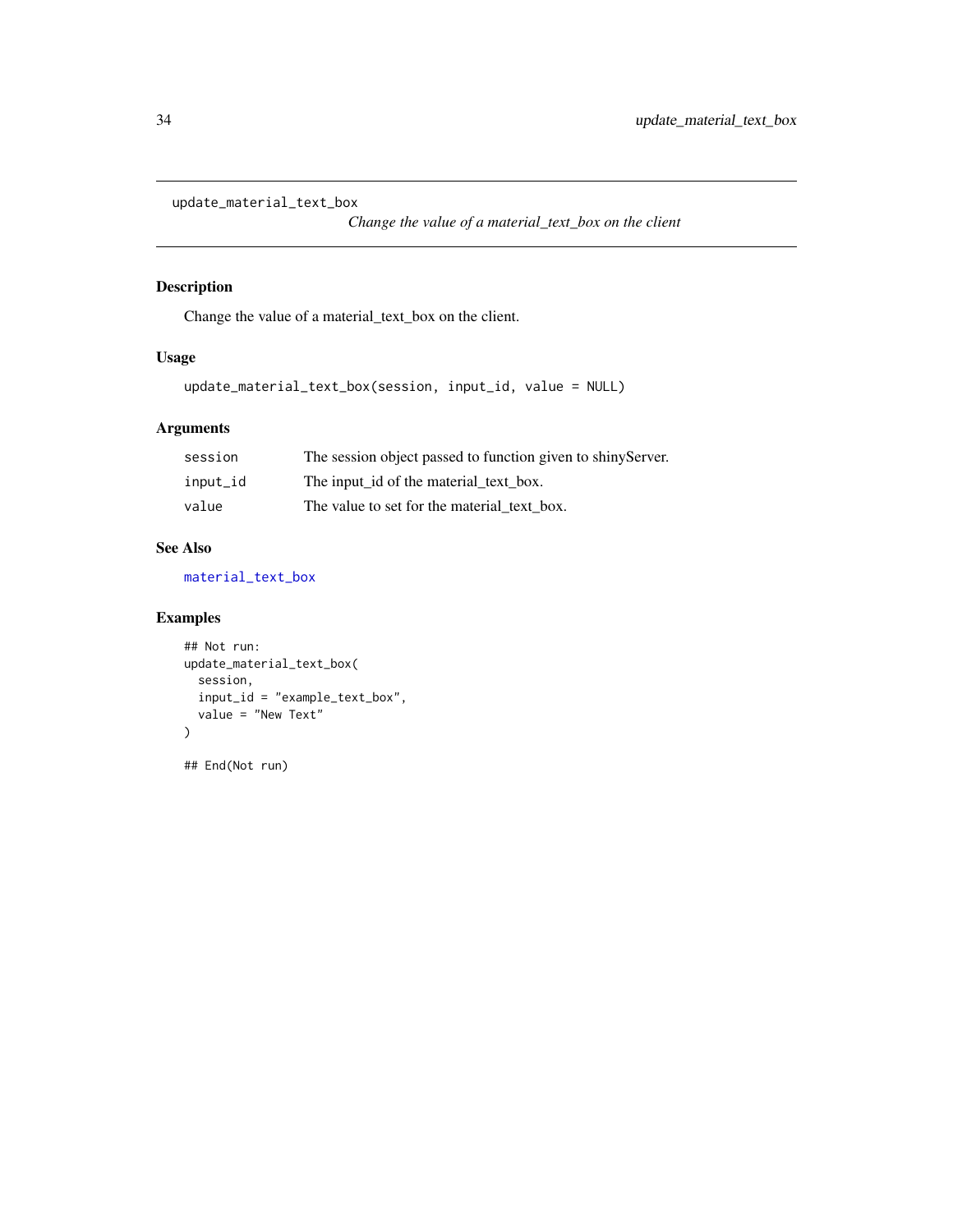<span id="page-33-1"></span><span id="page-33-0"></span>update\_material\_text\_box

*Change the value of a material\_text\_box on the client*

### Description

Change the value of a material\_text\_box on the client.

### Usage

update\_material\_text\_box(session, input\_id, value = NULL)

### Arguments

| session  | The session object passed to function given to shiny Server. |
|----------|--------------------------------------------------------------|
| input_id | The input id of the material text box.                       |
| value    | The value to set for the material text box.                  |

### See Also

[material\\_text\\_box](#page-23-1)

```
## Not run:
update_material_text_box(
  session,
  input_id = "example_text_box",
  value = "New Text"
\mathcal{L}## End(Not run)
```